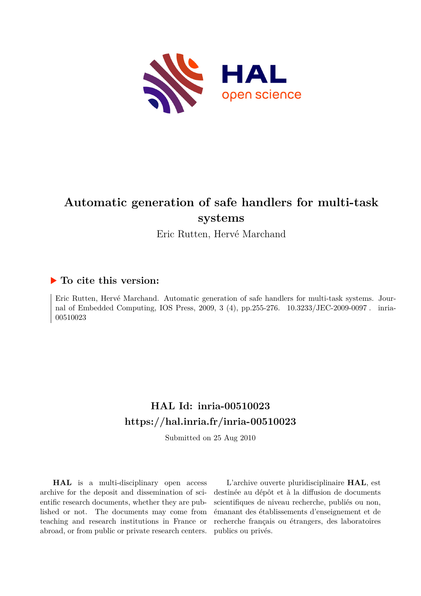

# **Automatic generation of safe handlers for multi-task systems**

Eric Rutten, Hervé Marchand

# **To cite this version:**

Eric Rutten, Hervé Marchand. Automatic generation of safe handlers for multi-task systems. Journal of Embedded Computing, IOS Press, 2009, 3 (4), pp.255-276.  $10.3233/JEC-2009-0097$ . inria-00510023

# **HAL Id: inria-00510023 <https://hal.inria.fr/inria-00510023>**

Submitted on 25 Aug 2010

**HAL** is a multi-disciplinary open access archive for the deposit and dissemination of scientific research documents, whether they are published or not. The documents may come from teaching and research institutions in France or abroad, or from public or private research centers.

L'archive ouverte pluridisciplinaire **HAL**, est destinée au dépôt et à la diffusion de documents scientifiques de niveau recherche, publiés ou non, émanant des établissements d'enseignement et de recherche français ou étrangers, des laboratoires publics ou privés.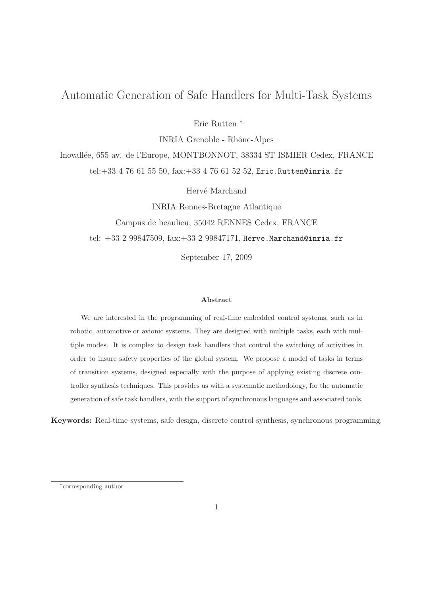# Automatic Generation of Safe Handlers for Multi-Task Systems

Eric Rutten <sup>∗</sup>

INRIA Grenoble - Rhˆone-Alpes

Inovallée, 655 av. de l'Europe, MONTBONNOT, 38334 ST ISMIER Cedex, FRANCE tel:+33 4 76 61 55 50, fax:+33 4 76 61 52 52, Eric.Rutten@inria.fr

Hervé Marchand

INRIA Rennes-Bretagne Atlantique Campus de beaulieu, 35042 RENNES Cedex, FRANCE tel: +33 2 99847509, fax:+33 2 99847171, Herve.Marchand@inria.fr

September 17, 2009

#### Abstract

We are interested in the programming of real-time embedded control systems, such as in robotic, automotive or avionic systems. They are designed with multiple tasks, each with multiple modes. It is complex to design task handlers that control the switching of activities in order to insure safety properties of the global system. We propose a model of tasks in terms of transition systems, designed especially with the purpose of applying existing discrete controller synthesis techniques. This provides us with a systematic methodology, for the automatic generation of safe task handlers, with the support of synchronous languages and associated tools.

Keywords: Real-time systems, safe design, discrete control synthesis, synchronous programming.

<sup>∗</sup> corresponding author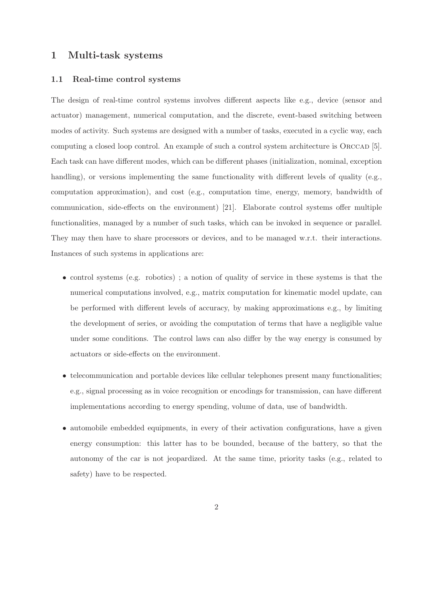## 1 Multi-task systems

## 1.1 Real-time control systems

The design of real-time control systems involves different aspects like e.g., device (sensor and actuator) management, numerical computation, and the discrete, event-based switching between modes of activity. Such systems are designed with a number of tasks, executed in a cyclic way, each computing a closed loop control. An example of such a control system architecture is Orccad [5]. Each task can have different modes, which can be different phases (initialization, nominal, exception handling), or versions implementing the same functionality with different levels of quality (e.g., computation approximation), and cost (e.g., computation time, energy, memory, bandwidth of communication, side-effects on the environment) [21]. Elaborate control systems offer multiple functionalities, managed by a number of such tasks, which can be invoked in sequence or parallel. They may then have to share processors or devices, and to be managed w.r.t. their interactions. Instances of such systems in applications are:

- control systems (e.g. robotics) ; a notion of quality of service in these systems is that the numerical computations involved, e.g., matrix computation for kinematic model update, can be performed with different levels of accuracy, by making approximations e.g., by limiting the development of series, or avoiding the computation of terms that have a negligible value under some conditions. The control laws can also differ by the way energy is consumed by actuators or side-effects on the environment.
- telecommunication and portable devices like cellular telephones present many functionalities; e.g., signal processing as in voice recognition or encodings for transmission, can have different implementations according to energy spending, volume of data, use of bandwidth.
- automobile embedded equipments, in every of their activation configurations, have a given energy consumption: this latter has to be bounded, because of the battery, so that the autonomy of the car is not jeopardized. At the same time, priority tasks (e.g., related to safety) have to be respected.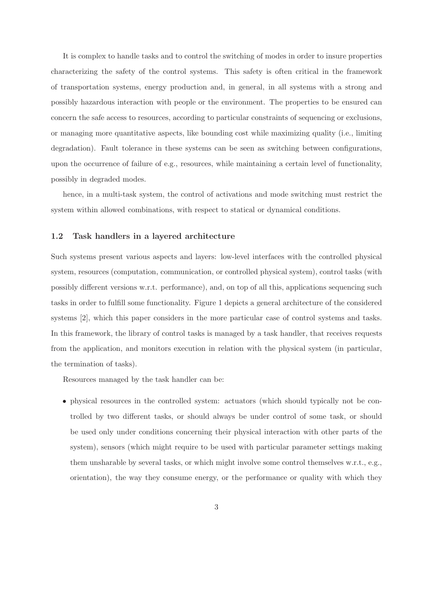It is complex to handle tasks and to control the switching of modes in order to insure properties characterizing the safety of the control systems. This safety is often critical in the framework of transportation systems, energy production and, in general, in all systems with a strong and possibly hazardous interaction with people or the environment. The properties to be ensured can concern the safe access to resources, according to particular constraints of sequencing or exclusions, or managing more quantitative aspects, like bounding cost while maximizing quality (i.e., limiting degradation). Fault tolerance in these systems can be seen as switching between configurations, upon the occurrence of failure of e.g., resources, while maintaining a certain level of functionality, possibly in degraded modes.

hence, in a multi-task system, the control of activations and mode switching must restrict the system within allowed combinations, with respect to statical or dynamical conditions.

## 1.2 Task handlers in a layered architecture

Such systems present various aspects and layers: low-level interfaces with the controlled physical system, resources (computation, communication, or controlled physical system), control tasks (with possibly different versions w.r.t. performance), and, on top of all this, applications sequencing such tasks in order to fulfill some functionality. Figure 1 depicts a general architecture of the considered systems [2], which this paper considers in the more particular case of control systems and tasks. In this framework, the library of control tasks is managed by a task handler, that receives requests from the application, and monitors execution in relation with the physical system (in particular, the termination of tasks).

Resources managed by the task handler can be:

• physical resources in the controlled system: actuators (which should typically not be controlled by two different tasks, or should always be under control of some task, or should be used only under conditions concerning their physical interaction with other parts of the system), sensors (which might require to be used with particular parameter settings making them unsharable by several tasks, or which might involve some control themselves w.r.t., e.g., orientation), the way they consume energy, or the performance or quality with which they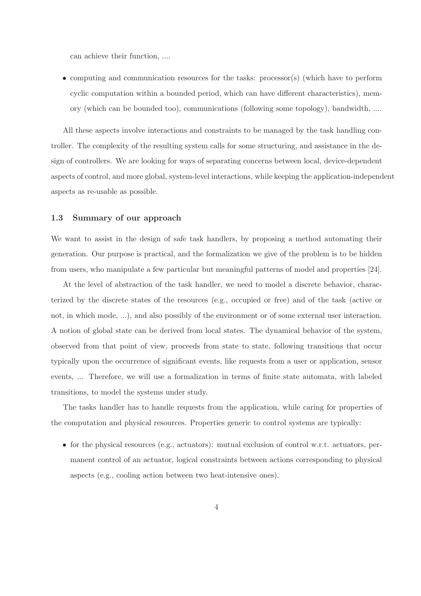can achieve their function, ....

• computing and communication resources for the tasks: processor(s) (which have to perform cyclic computation within a bounded period, which can have different characteristics), memory (which can be bounded too), communications (following some topology), bandwidth, ....

All these aspects involve interactions and constraints to be managed by the task handling controller. The complexity of the resulting system calls for some structuring, and assistance in the design of controllers. We are looking for ways of separating concerns between local, device-dependent aspects of control, and more global, system-level interactions, while keeping the application-independent aspects as re-usable as possible.

## 1.3 Summary of our approach

We want to assist in the design of safe task handlers, by proposing a method automating their generation. Our purpose is practical, and the formalization we give of the problem is to be hidden from users, who manipulate a few particular but meaningful patterns of model and properties [24].

At the level of abstraction of the task handler, we need to model a discrete behavior, characterized by the discrete states of the resources (e.g., occupied or free) and of the task (active or not, in which mode, ...), and also possibly of the environment or of some external user interaction. A notion of global state can be derived from local states. The dynamical behavior of the system, observed from that point of view, proceeds from state to state, following transitions that occur typically upon the occurrence of significant events, like requests from a user or application, sensor events, ... Therefore, we will use a formalization in terms of finite state automata, with labeled transitions, to model the systems under study.

The tasks handler has to handle requests from the application, while caring for properties of the computation and physical resources. Properties generic to control systems are typically:

• for the physical resources (e.g., actuators): mutual exclusion of control w.r.t. actuators, permanent control of an actuator, logical constraints between actions corresponding to physical aspects (e.g., cooling action between two heat-intensive ones).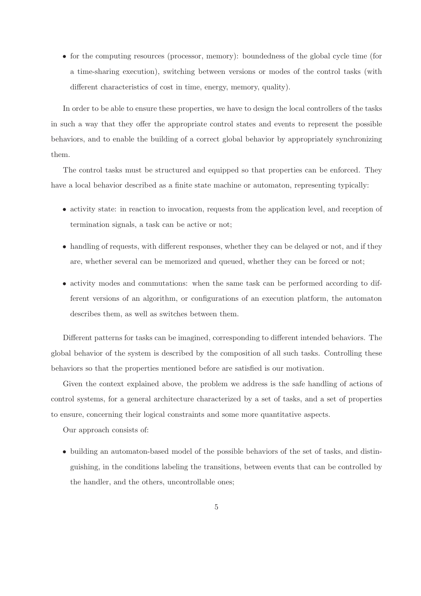• for the computing resources (processor, memory): boundedness of the global cycle time (for a time-sharing execution), switching between versions or modes of the control tasks (with different characteristics of cost in time, energy, memory, quality).

In order to be able to ensure these properties, we have to design the local controllers of the tasks in such a way that they offer the appropriate control states and events to represent the possible behaviors, and to enable the building of a correct global behavior by appropriately synchronizing them.

The control tasks must be structured and equipped so that properties can be enforced. They have a local behavior described as a finite state machine or automaton, representing typically:

- activity state: in reaction to invocation, requests from the application level, and reception of termination signals, a task can be active or not;
- handling of requests, with different responses, whether they can be delayed or not, and if they are, whether several can be memorized and queued, whether they can be forced or not;
- activity modes and commutations: when the same task can be performed according to different versions of an algorithm, or configurations of an execution platform, the automaton describes them, as well as switches between them.

Different patterns for tasks can be imagined, corresponding to different intended behaviors. The global behavior of the system is described by the composition of all such tasks. Controlling these behaviors so that the properties mentioned before are satisfied is our motivation.

Given the context explained above, the problem we address is the safe handling of actions of control systems, for a general architecture characterized by a set of tasks, and a set of properties to ensure, concerning their logical constraints and some more quantitative aspects.

Our approach consists of:

• building an automaton-based model of the possible behaviors of the set of tasks, and distinguishing, in the conditions labeling the transitions, between events that can be controlled by the handler, and the others, uncontrollable ones;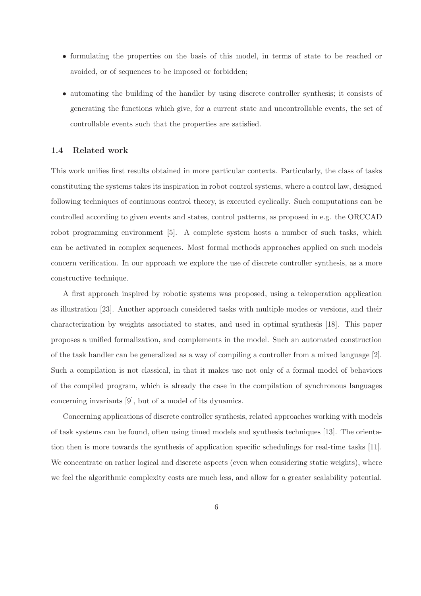- formulating the properties on the basis of this model, in terms of state to be reached or avoided, or of sequences to be imposed or forbidden;
- automating the building of the handler by using discrete controller synthesis; it consists of generating the functions which give, for a current state and uncontrollable events, the set of controllable events such that the properties are satisfied.

## 1.4 Related work

This work unifies first results obtained in more particular contexts. Particularly, the class of tasks constituting the systems takes its inspiration in robot control systems, where a control law, designed following techniques of continuous control theory, is executed cyclically. Such computations can be controlled according to given events and states, control patterns, as proposed in e.g. the ORCCAD robot programming environment [5]. A complete system hosts a number of such tasks, which can be activated in complex sequences. Most formal methods approaches applied on such models concern verification. In our approach we explore the use of discrete controller synthesis, as a more constructive technique.

A first approach inspired by robotic systems was proposed, using a teleoperation application as illustration [23]. Another approach considered tasks with multiple modes or versions, and their characterization by weights associated to states, and used in optimal synthesis [18]. This paper proposes a unified formalization, and complements in the model. Such an automated construction of the task handler can be generalized as a way of compiling a controller from a mixed language [2]. Such a compilation is not classical, in that it makes use not only of a formal model of behaviors of the compiled program, which is already the case in the compilation of synchronous languages concerning invariants [9], but of a model of its dynamics.

Concerning applications of discrete controller synthesis, related approaches working with models of task systems can be found, often using timed models and synthesis techniques [13]. The orientation then is more towards the synthesis of application specific schedulings for real-time tasks [11]. We concentrate on rather logical and discrete aspects (even when considering static weights), where we feel the algorithmic complexity costs are much less, and allow for a greater scalability potential.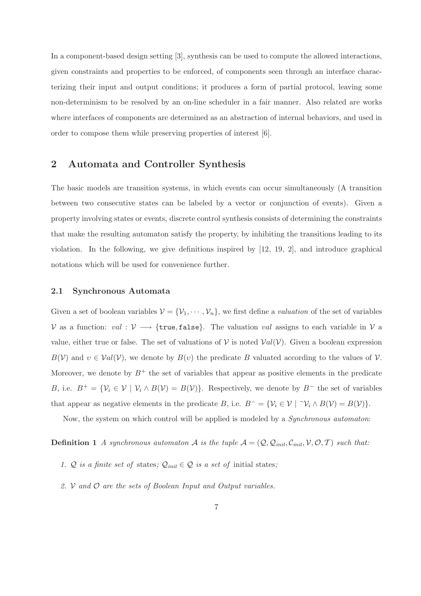In a component-based design setting [3], synthesis can be used to compute the allowed interactions, given constraints and properties to be enforced, of components seen through an interface characterizing their input and output conditions; it produces a form of partial protocol, leaving some non-determinism to be resolved by an on-line scheduler in a fair manner. Also related are works where interfaces of components are determined as an abstraction of internal behaviors, and used in order to compose them while preserving properties of interest [6].

## 2 Automata and Controller Synthesis

The basic models are transition systems, in which events can occur simultaneously (A transition between two consecutive states can be labeled by a vector or conjunction of events). Given a property involving states or events, discrete control synthesis consists of determining the constraints that make the resulting automaton satisfy the property, by inhibiting the transitions leading to its violation. In the following, we give definitions inspired by [12, 19, 2], and introduce graphical notations which will be used for convenience further.

## 2.1 Synchronous Automata

Given a set of boolean variables  $V = \{V_1, \dots, V_n\}$ , we first define a *valuation* of the set of variables V as a function: val :  $V \longrightarrow$  {true, false}. The valuation val assigns to each variable in V a value, either true or false. The set of valuations of V is noted  $Val(V)$ . Given a boolean expression  $B(\mathcal{V})$  and  $v \in Val(\mathcal{V})$ , we denote by  $B(v)$  the predicate B valuated according to the values of  $\mathcal{V}$ . Moreover, we denote by  $B^+$  the set of variables that appear as positive elements in the predicate B, i.e.  $B^+ = \{V_i \in V \mid V_i \wedge B(V) = B(V)\}\.$  Respectively, we denote by  $B^-$  the set of variables that appear as negative elements in the predicate B, i.e.  $B^- = \{V_i \in \mathcal{V} \mid \neg V_i \wedge B(V) = B(V)\}.$ 

Now, the system on which control will be applied is modeled by a *Synchronous automaton*:

**Definition 1** *A synchronous automaton A is the tuple*  $A = (Q, Q_{init}, C_{init}, V, O, T)$  *such that:* 

- *1.*  $Q$  *is a finite set of states;*  $Q_{init} \in Q$  *is a set of initial states;*
- *2.* V *and* O *are the sets of Boolean Input and Output variables.*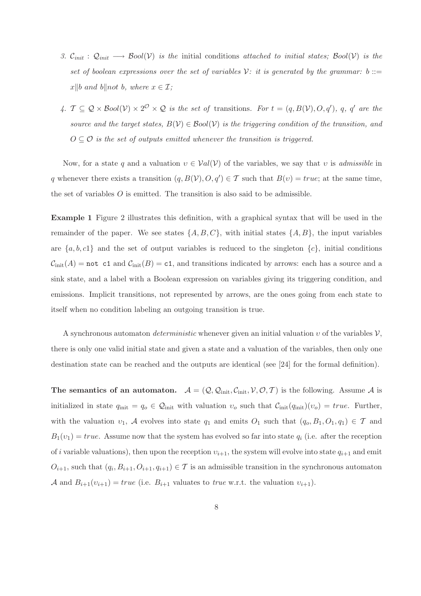- *3.*  $\mathcal{C}_{init}$  :  $\mathcal{Q}_{init}$  →  $\mathcal{B}ool(\mathcal{V})$  *is the initial conditions attached to initial states;*  $\mathcal{B}ool(\mathcal{V})$  *is the set of boolean expressions over the set of variables* V*: it is generated by the grammar:* b ::=  $||x||$  and b||not b, where  $x \in \mathcal{I}$ ;
- 4.  $\mathcal{T} \subseteq \mathcal{Q} \times \mathcal{B}ool(\mathcal{V}) \times 2^{\mathcal{O}} \times \mathcal{Q}$  is the set of transitions. For  $t = (q, B(\mathcal{V}), O, q')$ , q, q' are the *source and the target states,*  $B(\mathcal{V}) \in \mathcal{B}ool(\mathcal{V})$  *is the triggering condition of the transition, and*  $O \subseteq \mathcal{O}$  *is the set of outputs emitted whenever the transition is triggered.*

Now, for a state q and a valuation  $v \in Val(V)$  of the variables, we say that v is *admissible* in q whenever there exists a transition  $(q, B(V), O, q') \in \mathcal{T}$  such that  $B(v) = true$ ; at the same time, the set of variables  $O$  is emitted. The transition is also said to be admissible.

Example 1 Figure 2 illustrates this definition, with a graphical syntax that will be used in the remainder of the paper. We see states  $\{A, B, C\}$ , with initial states  $\{A, B\}$ , the input variables are  $\{a, b, c1\}$  and the set of output variables is reduced to the singleton  $\{c\}$ , initial conditions  $C_{\text{init}}(A) = \text{not cl}$  and  $C_{\text{init}}(B) = \text{cl}$ , and transitions indicated by arrows: each has a source and a sink state, and a label with a Boolean expression on variables giving its triggering condition, and emissions. Implicit transitions, not represented by arrows, are the ones going from each state to itself when no condition labeling an outgoing transition is true.

A synchronous automaton *deterministic* whenever given an initial valuation  $v$  of the variables  $\mathcal{V}$ , there is only one valid initial state and given a state and a valuation of the variables, then only one destination state can be reached and the outputs are identical (see [24] for the formal definition).

The semantics of an automaton.  $A = (Q, Q_{init}, C_{init}, V, O, T)$  is the following. Assume A is initialized in state  $q_{\text{init}} = q_o \in \mathcal{Q}_{\text{init}}$  with valuation  $v_o$  such that  $\mathcal{C}_{\text{init}}(q_{\text{init}})(v_o) = true$ . Further, with the valuation  $v_1$ , A evolves into state  $q_1$  and emits  $O_1$  such that  $(q_0, B_1, O_1, q_1) \in \mathcal{T}$  and  $B_1(v_1) = true$ . Assume now that the system has evolved so far into state  $q_i$  (i.e. after the reception of i variable valuations), then upon the reception  $v_{i+1}$ , the system will evolve into state  $q_{i+1}$  and emit  $O_{i+1}$ , such that  $(q_i, B_{i+1}, O_{i+1}, q_{i+1}) \in \mathcal{T}$  is an admissible transition in the synchronous automaton A and  $B_{i+1}(v_{i+1}) = true$  (i.e.  $B_{i+1}$  valuates to *true* w.r.t. the valuation  $v_{i+1}$ ).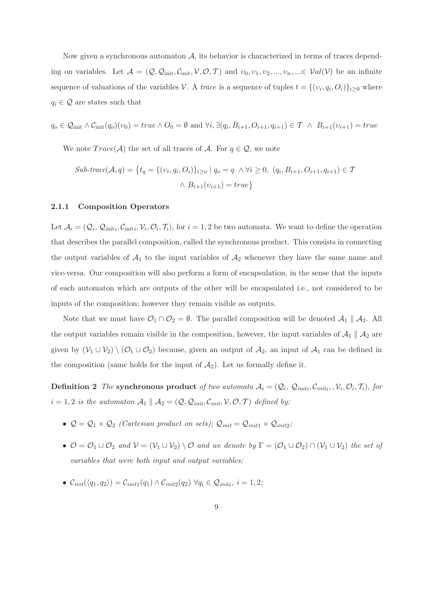Now given a synchronous automaton  $A$ , its behavior is characterized in terms of traces depending on variables. Let  $\mathcal{A} = (Q, Q_{\text{init}}, C_{\text{init}}, \mathcal{V}, \mathcal{O}, \mathcal{T})$  and  $v_0, v_1, v_2, ..., v_n, ... \in \mathcal{V}al(\mathcal{V})$  be an infinite sequence of valuations of the variables  $V$ . A *trace* is a sequence of tuples  $t = \{(v_i, q_i, O_i)\}_{i \geq 0}$  where  $q_i \in \mathcal{Q}$  are states such that

$$
q_o \in \mathcal{Q}_{init} \land \mathcal{C}_{init}(q_o)(v_0) = true \land O_0 = \emptyset \text{ and } \forall i, \exists (q_i, B_{i+1}, O_{i+1}, q_{i+1}) \in \mathcal{T} \land B_{i+1}(v_{i+1}) = true
$$

We note  $Trace(\mathcal{A})$  the set of all traces of  $\mathcal{A}$ . For  $q \in \mathcal{Q}$ , we note

Sub-trace
$$
(A, q)
$$
 = { $t_q$  = { $(v_i, q_i, O_i)$ } <sub>$i \geq o$</sub>  |  $q_o$  =  $q \wedge \forall i \geq 0$ ,  $(q_i, B_{i+1}, O_{i+1}, q_{i+1}) \in T$   
 $\wedge B_{i+1}(v_{i+1}) = true$ }

## 2.1.1 Composition Operators

Let  $\mathcal{A}_i=(\mathcal{Q}_i,\,\mathcal{Q}_{\text{init}} ,\mathcal{C}_{\text{init}},\mathcal{V}_i,\mathcal{O}_i,\mathcal{T}_i),$  for  $i=1,2$  be two automata. We want to define the operation that describes the parallel composition, called the synchronous product. This consists in connecting the output variables of  $A_1$  to the input variables of  $A_2$  whenever they have the same name and vice-versa. Our composition will also perform a form of encapsulation, in the sense that the inputs of each automaton which are outputs of the other will be encapsulated i.e., not considered to be inputs of the composition; however they remain visible as outputs.

Note that we must have  $\mathcal{O}_1 \cap \mathcal{O}_2 = \emptyset$ . The parallel composition will be denoted  $\mathcal{A}_1 \parallel \mathcal{A}_2$ . All the output variables remain visible in the composition, however, the input variables of  $\mathcal{A}_1 \parallel \mathcal{A}_2$  are given by  $(\mathcal{V}_1 \cup \mathcal{V}_2) \setminus (\mathcal{O}_1 \cup \mathcal{O}_2)$  because, given an output of  $\mathcal{A}_2$ , an input of  $\mathcal{A}_1$  can be defined in the composition (same holds for the input of  $A_2$ ). Let us formally define it.

**Definition 2** The synchronous product of two automata  $\mathcal{A}_i = (\mathcal{Q}_i, \, \mathcal{Q}_{initi}, \mathcal{C}_{initi}, \mathcal{V}_i, \mathcal{O}_i, \mathcal{T}_i)$ , for  $i = 1, 2$  *is the automaton*  $\mathcal{A}_1 \parallel \mathcal{A}_2 = (\mathcal{Q}, \mathcal{Q}_{init}, \mathcal{C}_{init}, \mathcal{V}, \mathcal{O}, \mathcal{T})$  *defined by:* 

- $Q = Q_1 \times Q_2$  (Cartesian product on sets);  $Q_{init} = Q_{init1} \times Q_{init2}$ ;
- $\mathcal{O} = \mathcal{O}_1 \cup \mathcal{O}_2$  *and*  $\mathcal{V} = (\mathcal{V}_1 \cup \mathcal{V}_2) \setminus \mathcal{O}$  *and we denote by*  $\Gamma = (\mathcal{O}_1 \cup \mathcal{O}_2) \cap (\mathcal{V}_1 \cup \mathcal{V}_2)$  *the set of variables that were both input and output variables;*
- $C_{init}(\langle q_1, q_2 \rangle) = C_{init1}(q_1) \wedge C_{init2}(q_2) \; \forall q_i \in \mathcal{Q}_{initi}, \; i = 1, 2;$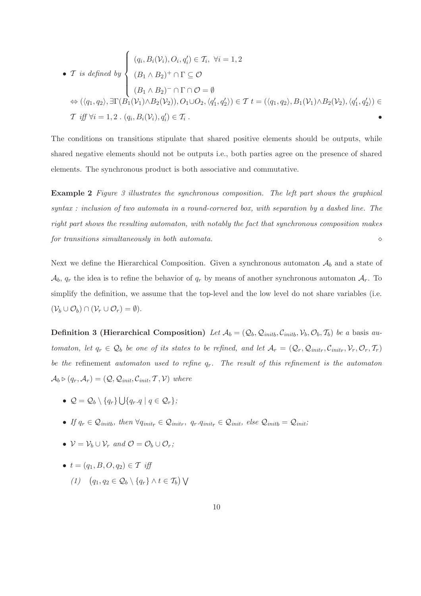• *T* is defined by\n
$$
\begin{cases}\n(q_i, B_i(\mathcal{V}_i), O_i, q'_i) \in \mathcal{T}_i, \ \forall i = 1, 2 \\
(B_1 \wedge B_2)^+ \cap \Gamma \subseteq \mathcal{O} \\
(B_1 \wedge B_2)^- \cap \Gamma \cap \mathcal{O} = \emptyset\n\end{cases}
$$
\n
$$
\Leftrightarrow (\langle q_1, q_2 \rangle, \exists \Gamma(B_1(\mathcal{V}_1) \wedge B_2(\mathcal{V}_2)), O_1 \cup O_2, \langle q'_1, q'_2 \rangle) \in \mathcal{T} \ t = (\langle q_1, q_2 \rangle, B_1(\mathcal{V}_1) \wedge B_2(\mathcal{V}_2), \langle q'_1, q'_2 \rangle) \in \mathcal{T} \ iff \ \forall i = 1, 2 \ . \ (q_i, B_i(\mathcal{V}_i), q'_i) \in \mathcal{T}_i \ .
$$

The conditions on transitions stipulate that shared positive elements should be outputs, while shared negative elements should not be outputs i.e., both parties agree on the presence of shared elements. The synchronous product is both associative and commutative.

Example 2 *Figure 3 illustrates the synchronous composition. The left part shows the graphical syntax : inclusion of two automata in a round-cornered box, with separation by a dashed line. The right part shows the resulting automaton, with notably the fact that synchronous composition makes for transitions simultaneously in both automata.* ⋄

Next we define the Hierarchical Composition. Given a synchronous automaton  $A_b$  and a state of  $\mathcal{A}_b$ ,  $q_r$  the idea is to refine the behavior of  $q_r$  by means of another synchronous automaton  $\mathcal{A}_r$ . To simplify the definition, we assume that the top-level and the low level do not share variables (i.e.  $(\mathcal{V}_b \cup \mathcal{O}_b) \cap (\mathcal{V}_r \cup \mathcal{O}_r) = \emptyset.$ 

**Definition 3 (Hierarchical Composition)** Let  $\mathcal{A}_b = (\mathcal{Q}_b, \mathcal{Q}_{initb}, \mathcal{C}_{initb}, \mathcal{V}_b, \mathcal{O}_b, \mathcal{T}_b)$  be a basis au*tomaton, let*  $q_r \in \mathcal{Q}_b$  *be one of its states to be refined, and let*  $\mathcal{A}_r = (\mathcal{Q}_r, \mathcal{Q}_{initr}, \mathcal{C}_{initr}, \mathcal{V}_r, \mathcal{O}_r, \mathcal{T}_r)$ *be the* refinement *automaton used to refine* qr*. The result of this refinement is the automaton*  $\mathcal{A}_b \triangleright (q_r, \mathcal{A}_r) = (\mathcal{Q}, \mathcal{Q}_{init}, \mathcal{C}_{init}, \mathcal{T}, \mathcal{V})$  where

 $\bullet$   $\mathcal{Q} = \mathcal{Q}_b \setminus \{q_r\} \bigcup \{q_r.q \mid q \in \mathcal{Q}_r\};$ 

 $\overline{\phantom{a}}$ 

- If  $q_r \in \mathcal{Q}_{initb}$ , then  $\forall q_{initr} \in \mathcal{Q}_{initr}$ ,  $q_r.q_{initr} \in \mathcal{Q}_{init}$ , else  $\mathcal{Q}_{initb} = \mathcal{Q}_{initi}$ ;
- $V = V_b \cup V_r$  *and*  $\mathcal{O} = \mathcal{O}_b \cup \mathcal{O}_r$ ;
- $t = (q_1, B, O, q_2) \in T$  *iff (1)*  $(q_1, q_2 \in \mathcal{Q}_b \setminus \{q_r\} \land t \in \mathcal{T}_b)$   $\bigvee$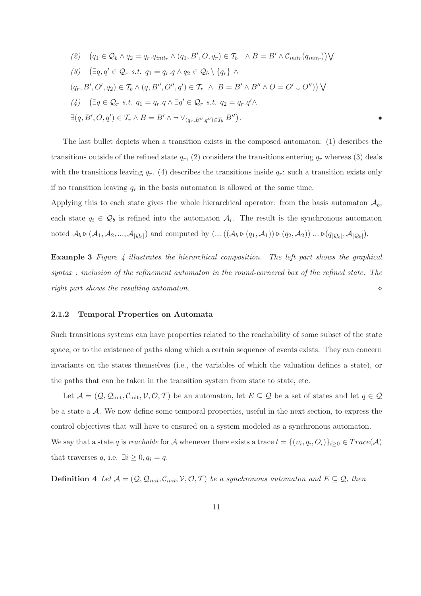$$
(2) \quad (q_1 \in Q_b \land q_2 = q_r.q_{initr} \land (q_1, B', O, q_r) \in T_b \quad \land B = B' \land C_{initr}(q_{initr})) \lor
$$
  
\n
$$
(3) \quad (\exists q, q' \in Q_r \text{ s.t. } q_1 = q_r.q \land q_2 \in Q_b \setminus \{q_r\} \land
$$
  
\n
$$
(q_r, B', O', q_2) \in T_b \land (q, B'', O'', q') \in T_r \land B = B' \land B'' \land O = O' \cup O'') \lor
$$
  
\n
$$
(4) \quad (\exists q \in Q_r \text{ s.t. } q_1 = q_r.q \land \exists q' \in Q_r \text{ s.t. } q_2 = q_r.q' \land
$$
  
\n
$$
\exists (q, B', O, q') \in T_r \land B = B' \land \neg \lor_{(q_r, B'', q'') \in T_b} B'').
$$

The last bullet depicts when a transition exists in the composed automaton: (1) describes the transitions outside of the refined state  $q_r$ , (2) considers the transitions entering  $q_r$  whereas (3) deals with the transitions leaving  $q_r$ . (4) describes the transitions inside  $q_r$ : such a transition exists only if no transition leaving  $q_r$  in the basis automaton is allowed at the same time.

Applying this to each state gives the whole hierarchical operator: from the basis automaton  $A_b$ , each state  $q_i \in \mathcal{Q}_b$  is refined into the automaton  $\mathcal{A}_i$ . The result is the synchronous automaton noted  $\mathcal{A}_b \triangleright (\mathcal{A}_1, \mathcal{A}_2, ..., \mathcal{A}_{|\mathcal{Q}_b|})$  and computed by  $( ... ((\mathcal{A}_b \triangleright (q_1, \mathcal{A}_1)) \triangleright (q_2, \mathcal{A}_2)) ... \triangleright (q_{|\mathcal{Q}_b|}, \mathcal{A}_{|\mathcal{Q}_b|}).$ 

Example 3 *Figure 4 illustrates the hierarchical composition. The left part shows the graphical syntax : inclusion of the refinement automaton in the round-cornered box of the refined state. The right part shows the resulting automaton.*  $\Diamond$ 

#### 2.1.2 Temporal Properties on Automata

Such transitions systems can have properties related to the reachability of some subset of the state space, or to the existence of paths along which a certain sequence of events exists. They can concern invariants on the states themselves (i.e., the variables of which the valuation defines a state), or the paths that can be taken in the transition system from state to state, etc.

Let  $\mathcal{A} = (\mathcal{Q}, \mathcal{Q}_{init}, \mathcal{C}_{init}, \mathcal{V}, \mathcal{O}, \mathcal{T})$  be an automaton, let  $E \subseteq \mathcal{Q}$  be a set of states and let  $q \in \mathcal{Q}$ be a state a A. We now define some temporal properties, useful in the next section, to express the control objectives that will have to ensured on a system modeled as a synchronous automaton. We say that a state q is *reachable* for A whenever there exists a trace  $t = \{(v_i, q_i, O_i)\}_{i \geq 0} \in Trace(\mathcal{A})$ that traverses q, i.e.  $\exists i \geq 0, q_i = q$ .

**Definition 4** Let  $A = (Q, Q_{init}, C_{init}, V, O, T)$  *be a synchronous automaton and*  $E \subseteq Q$ *, then*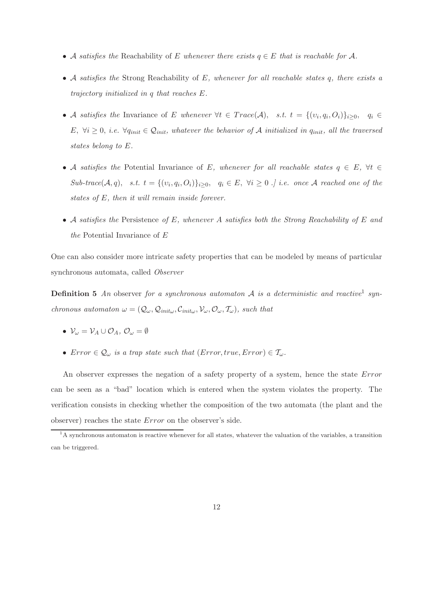- A *satisfies the* Reachability of E *whenever there exists* q ∈ E *that is reachable for* A*.*
- A *satisfies the* Strong Reachability of E*, whenever for all reachable states* q*, there exists a trajectory initialized in* q *that reaches* E*.*
- A *satisfies the* Invariance of E whenever  $\forall t \in Trace(\mathcal{A}), \text{ s.t. } t = \{(v_i, q_i, O_i)\}_{i \geq 0}, \text{ q}_i \in$ E,  $\forall i \geq 0$ , *i.e.*  $\forall q_{init} \in Q_{init}$ , whatever the behavior of A initialized in  $q_{init}$ , all the traversed *states belong to* E*.*
- A *satisfies the* Potential Invariance of E, whenever for all reachable states  $q \in E$ ,  $\forall t \in$  $Sub\text{-}trace(\mathcal{A},q), \text{ s.t. } t = \{(v_i,q_i,O_i)\}_{i\geq 0}, \text{ } q_i \in E, \forall i \geq 0 \text{ .} \}$  i.e. once  $\mathcal{A}$  reached one of the *states of* E*, then it will remain inside forever.*
- A *satisfies the* Persistence *of* E*, whenever* A *satisfies both the Strong Reachability of* E *and the* Potential Invariance of E

One can also consider more intricate safety properties that can be modeled by means of particular synchronous automata, called *Observer*

**Definition 5** An observer for a synchronous automaton A is a deterministic and reactive<sup>1</sup> syn*chronous automaton*  $\omega = (Q_\omega, Q_{init\omega}, C_{init\omega}, \mathcal{V}_\omega, \mathcal{O}_\omega, \mathcal{T}_\omega)$ *, such that* 

- $\mathcal{V}_{\omega} = \mathcal{V}_{A} \cup \mathcal{O}_{A}, \mathcal{O}_{\omega} = \emptyset$
- Error  $\in \mathcal{Q}_{\omega}$  is a trap state such that  $(\text{Error}, \text{true}, \text{Error}) \in \mathcal{T}_{\omega}$ .

An observer expresses the negation of a safety property of a system, hence the state Error can be seen as a "bad" location which is entered when the system violates the property. The verification consists in checking whether the composition of the two automata (the plant and the observer) reaches the state Error on the observer's side.

<sup>&</sup>lt;sup>1</sup>A synchronous automaton is reactive whenever for all states, whatever the valuation of the variables, a transition can be triggered.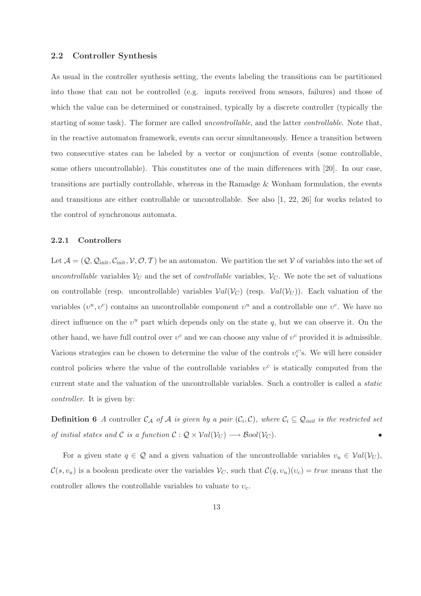### 2.2 Controller Synthesis

As usual in the controller synthesis setting, the events labeling the transitions can be partitioned into those that can not be controlled (e.g. inputs received from sensors, failures) and those of which the value can be determined or constrained, typically by a discrete controller (typically the starting of some task). The former are called *uncontrollable*, and the latter *controllable*. Note that, in the reactive automaton framework, events can occur simultaneously. Hence a transition between two consecutive states can be labeled by a vector or conjunction of events (some controllable, some others uncontrollable). This constitutes one of the main differences with [20]. In our case, transitions are partially controllable, whereas in the Ramadge & Wonham formulation, the events and transitions are either controllable or uncontrollable. See also [1, 22, 26] for works related to the control of synchronous automata.

#### 2.2.1 Controllers

Let  $\mathcal{A} = (Q, Q_{\text{init}}, C_{\text{init}}, \mathcal{V}, \mathcal{O}, \mathcal{T})$  be an automaton. We partition the set V of variables into the set of *uncontrollable* variables  $V_U$  and the set of *controllable* variables,  $V_C$ . We note the set of valuations on controllable (resp. uncontrollable) variables  $Val(V_C)$  (resp.  $Val(V_U)$ ). Each valuation of the variables  $(v^u, v^c)$  contains an uncontrollable component  $v^u$  and a controllable one  $v^c$ . We have no direct influence on the  $v^u$  part which depends only on the state q, but we can observe it. On the other hand, we have full control over  $v^c$  and we can choose any value of  $v^c$  provided it is admissible. Various strategies can be chosen to determine the value of the controls  $v_i^c$ 's. We will here consider control policies where the value of the controllable variables  $v^c$  is statically computed from the current state and the valuation of the uncontrollable variables. Such a controller is called a *static controller*. It is given by:

**Definition 6** *A* controller  $C_A$  *of A is given by a pair*  $(C_i, C)$ *, where*  $C_i \subseteq Q_{init}$  *is the restricted set of initial states and*  $C$  *is a function*  $C : Q \times Val(V_U) \longrightarrow Bool(V_C)$ .

For a given state  $q \in \mathcal{Q}$  and a given valuation of the uncontrollable variables  $v_u \in \mathcal{V}al(\mathcal{V}_U)$ ,  $\mathcal{C}(s, v_u)$  is a boolean predicate over the variables  $\mathcal{V}_C$ , such that  $\mathcal{C}(q, v_u)(v_c) = true$  means that the controller allows the controllable variables to valuate to  $v_c$ .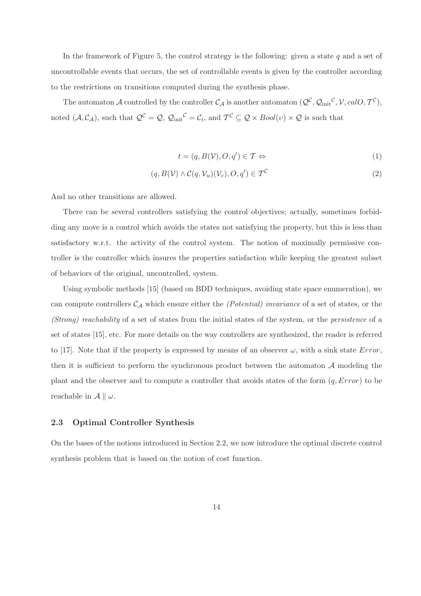In the framework of Figure 5, the control strategy is the following: given a state  $q$  and a set of uncontrollable events that occurs, the set of controllable events is given by the controller according to the restrictions on transitions computed during the synthesis phase.

The automaton A controlled by the controller  $\mathcal{C}_{\mathcal{A}}$  is another automaton  $(\mathcal{Q}^{\mathcal{C}}, \mathcal{Q}_{\text{init}}^{\mathcal{C}}, \mathcal{V}, \text{calO}, \mathcal{T}^{\mathcal{C}})$ , noted  $(A, C_A)$ , such that  $Q^C = Q$ ,  $Q_{init}^C = C_i$ , and  $T^C \subseteq Q \times Bool(v) \times Q$  is such that

$$
t = (q, B(\mathcal{V}), O, q') \in \mathcal{T} \Leftrightarrow \tag{1}
$$

$$
(q, B(\mathcal{V}) \wedge C(q, \mathcal{V}_u)(\mathcal{V}_c), O, q') \in \mathcal{T}^{\mathcal{C}}
$$
\n
$$
(2)
$$

And no other transitions are allowed.

There can be several controllers satisfying the control objectives; actually, sometimes forbidding any move is a control which avoids the states not satisfying the property, but this is less than satisfactory w.r.t. the activity of the control system. The notion of maximally permissive controller is the controller which insures the properties satisfaction while keeping the greatest subset of behaviors of the original, uncontrolled, system.

Using symbolic methods [15] (based on BDD techniques, avoiding state space enumeration), we can compute controllers  $C_A$  which ensure either the *(Potential) invariance* of a set of states, or the *(Strong) reachability* of a set of states from the initial states of the system, or the *persistence* of a set of states [15], etc. For more details on the way controllers are synthesized, the reader is referred to [17]. Note that if the property is expressed by means of an observer  $\omega$ , with a sink state  $Error$ , then it is sufficient to perform the synchronous product between the automaton  $A$  modeling the plant and the observer and to compute a controller that avoids states of the form  $(q, Error)$  to be reachable in  $\mathcal{A} \parallel \omega$ .

## 2.3 Optimal Controller Synthesis

On the bases of the notions introduced in Section 2.2, we now introduce the optimal discrete control synthesis problem that is based on the notion of cost function.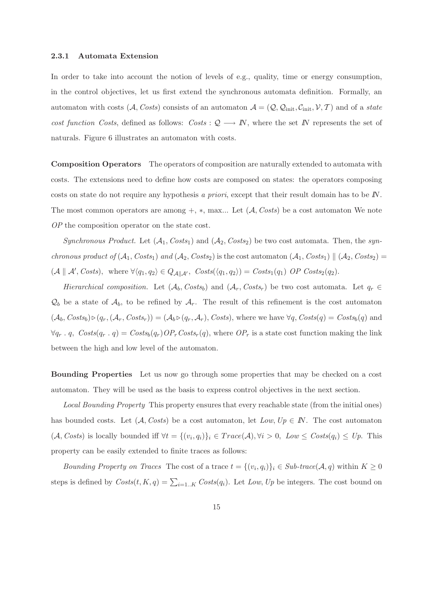#### 2.3.1 Automata Extension

In order to take into account the notion of levels of e.g., quality, time or energy consumption, in the control objectives, let us first extend the synchronous automata definition. Formally, an automaton with costs  $(A, Costs)$  consists of an automaton  $A = (Q, Q_{init}, C_{init}, V, T)$  and of a *state cost function Costs*, defined as follows: *Costs* :  $Q \rightarrow N$ , where the set N represents the set of naturals. Figure 6 illustrates an automaton with costs.

Composition Operators The operators of composition are naturally extended to automata with costs. The extensions need to define how costs are composed on states: the operators composing costs on state do not require any hypothesis *a priori*, except that their result domain has to be IN. The most common operators are among +, ∗, max... Let (A, *Costs*) be a cost automaton We note *OP* the composition operator on the state cost.

*Synchronous Product.* Let  $(A_1, Cost_{1})$  and  $(A_2, Cost_{2})$  be two cost automata. Then, the *synchronous product of*  $(A_1, Costs_1)$  *and*  $(A_2, Costs_2)$  is the cost automaton  $(A_1, Costs_1)$   $\|$   $(A_2, Costs_2) =$  $(\mathcal{A} \parallel \mathcal{A}', \mathit{Costs})$ , where  $\forall \langle q_1, q_2 \rangle \in Q_{\mathcal{A} \parallel \mathcal{A}'}, \mathit{Costs}(\langle q_1, q_2 \rangle) = \mathit{Costs}_1(q_1) \mathit{OP} \mathit{Costs}_2(q_2).$ 

*Hierarchical composition.* Let  $(A_b, Cost_{b})$  and  $(A_r, Cost_{s})$  be two cost automata. Let  $q_r \in$  $\mathcal{Q}_b$  be a state of  $\mathcal{A}_b$ , to be refined by  $\mathcal{A}_r$ . The result of this refinement is the cost automaton  $(\mathcal{A}_b, \mathit{Costs}_b) \triangleright (q_r, (\mathcal{A}_r, \mathit{Costs}_r)) = (\mathcal{A}_b \triangleright (q_r, \mathcal{A}_r), \mathit{Costs})$ , where we have  $\forall q, \mathit{Costs}(q) = \mathit{Costs}_b(q)$  and  $\forall q_r \, . \, q, \ \mathit{Costs}(q_r \, . \, q) = \mathit{Costs}_b(q_r) \mathit{OP}_r \mathit{Costs}_r(q),$  where  $\mathit{OP}_r$  is a state cost function making the link between the high and low level of the automaton.

Bounding Properties Let us now go through some properties that may be checked on a cost automaton. They will be used as the basis to express control objectives in the next section.

*Local Bounding Property* This property ensures that every reachable state (from the initial ones) has bounded costs. Let  $(A, Costs)$  be a cost automaton, let *Low*,  $Up \in \mathbb{N}$ . The cost automaton  $(A, \text{Costs})$  is locally bounded iff  $\forall t = \{(v_i, q_i)\}_i \in \text{Trace}(\mathcal{A}), \forall i > 0, \text{ Low } \leq \text{Costs}(q_i) \leq \text{ Up. This}$ property can be easily extended to finite traces as follows:

*Bounding Property on Traces* The cost of a trace  $t = \{(v_i, q_i)\}_i \in Sub\text{-}trace(\mathcal{A}, q)$  within  $K \geq 0$ steps is defined by  $Costs(t, K, q) = \sum_{i=1..K} Costs(q_i)$ . Let  $Low, Up$  be integers. The cost bound on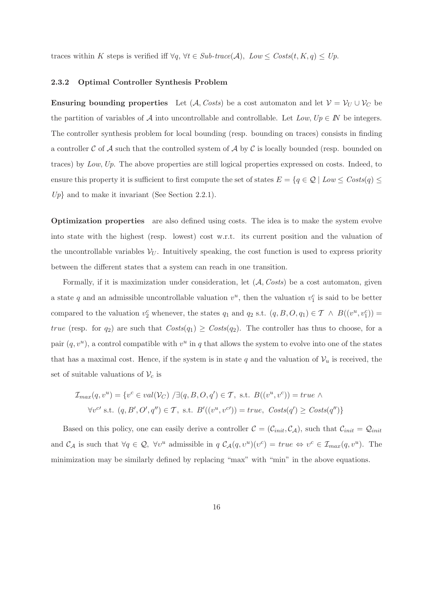traces within K steps is verified iff  $\forall q, \forall t \in Sub\text{-}trace(\mathcal{A}), \text{ Low } \leq \text{Costs}(t, K, q) \leq Up.$ 

#### 2.3.2 Optimal Controller Synthesis Problem

**Ensuring bounding properties** Let  $(A, \text{Costs})$  be a cost automaton and let  $V = V_U \cup V_C$  be the partition of variables of A into uncontrollable and controllable. Let *Low*,  $Up \in I\!N$  be integers. The controller synthesis problem for local bounding (resp. bounding on traces) consists in finding a controller C of A such that the controlled system of A by C is locally bounded (resp. bounded on traces) by *Low*, *Up*. The above properties are still logical properties expressed on costs. Indeed, to ensure this property it is sufficient to first compute the set of states  $E = \{q \in \mathcal{Q} \mid Low \leq Costs(q) \leq \}$ *Up*} and to make it invariant (See Section 2.2.1).

Optimization properties are also defined using costs. The idea is to make the system evolve into state with the highest (resp. lowest) cost w.r.t. its current position and the valuation of the uncontrollable variables  $V_U$ . Intuitively speaking, the cost function is used to express priority between the different states that a system can reach in one transition.

Formally, if it is maximization under consideration, let (A, *Costs*) be a cost automaton, given a state q and an admissible uncontrollable valuation  $v^u$ , then the valuation  $v_1^c$  is said to be better compared to the valuation  $v_2^c$  whenever, the states  $q_1$  and  $q_2$  s.t.  $(q, B, O, q_1) \in \mathcal{T} \land B((v^u, v_1^c)) =$ true (resp. for  $q_2$ ) are such that  $Costs(q_1) \geq Costs(q_2)$ . The controller has thus to choose, for a pair  $(q, v^u)$ , a control compatible with  $v^u$  in q that allows the system to evolve into one of the states that has a maximal cost. Hence, if the system is in state q and the valuation of  $\mathcal{V}_u$  is received, the set of suitable valuations of  $V_c$  is

$$
\mathcal{I}_{max}(q, v^u) = \{v^c \in val(\mathcal{V}_C) \mid \exists (q, B, O, q') \in \mathcal{T}, \text{ s.t. } B((v^u, v^c)) = true \land
$$
  

$$
\forall v^{c'} \text{ s.t. } (q, B', O', q'') \in \mathcal{T}, \text{ s.t. } B'((v^u, v^{c'})) = true, \text{ Costs}(q') \ge \text{ Costs}(q'')\}
$$

Based on this policy, one can easily derive a controller  $\mathcal{C} = (\mathcal{C}_{init}, \mathcal{C}_{\mathcal{A}})$ , such that  $\mathcal{C}_{init} = \mathcal{Q}_{init}$ and  $\mathcal{C}_{\mathcal{A}}$  is such that  $\forall q \in \mathcal{Q}, \ \forall v^u$  admissible in  $q \ \mathcal{C}_{\mathcal{A}}(q, v^u)(v^c) = true \Leftrightarrow v^c \in \mathcal{I}_{max}(q, v^u)$ . The minimization may be similarly defined by replacing "max" with "min" in the above equations.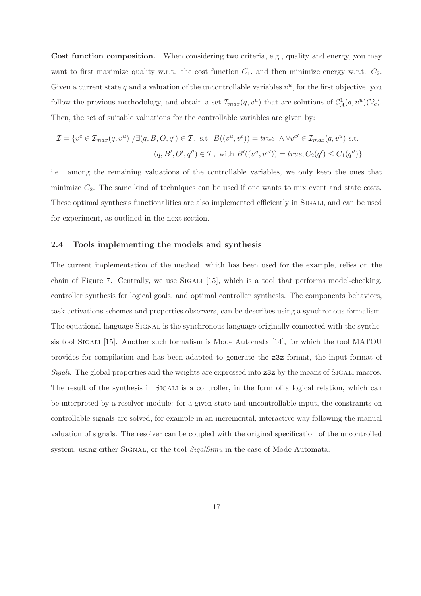Cost function composition. When considering two criteria, e.g., quality and energy, you may want to first maximize quality w.r.t. the cost function  $C_1$ , and then minimize energy w.r.t.  $C_2$ . Given a current state q and a valuation of the uncontrollable variables  $v^u$ , for the first objective, you follow the previous methodology, and obtain a set  $\mathcal{I}_{max}(q, v^u)$  that are solutions of  $\mathcal{C}^1_{\mathcal{A}}(q, v^u)(\mathcal{V}_c)$ . Then, the set of suitable valuations for the controllable variables are given by:

$$
\mathcal{I} = \{v^c \in \mathcal{I}_{max}(q, v^u) \mid \exists (q, B, O, q') \in \mathcal{T}, \text{ s.t. } B((v^u, v^c)) = true \land \forall v^{c'} \in \mathcal{I}_{max}(q, v^u) \text{ s.t.}
$$

$$
(q, B', O', q'') \in \mathcal{T}, \text{ with } B'((v^u, v^{c'})) = true, C_2(q') \le C_1(q'')\}
$$

i.e. among the remaining valuations of the controllable variables, we only keep the ones that minimize  $C_2$ . The same kind of techniques can be used if one wants to mix event and state costs. These optimal synthesis functionalities are also implemented efficiently in SIGALI, and can be used for experiment, as outlined in the next section.

## 2.4 Tools implementing the models and synthesis

The current implementation of the method, which has been used for the example, relies on the chain of Figure 7. Centrally, we use  $SIGALI$  [15], which is a tool that performs model-checking, controller synthesis for logical goals, and optimal controller synthesis. The components behaviors, task activations schemes and properties observers, can be describes using a synchronous formalism. The equational language SIGNAL is the synchronous language originally connected with the synthesis tool Sigali [15]. Another such formalism is Mode Automata [14], for which the tool MATOU provides for compilation and has been adapted to generate the z3z format, the input format of *Sigali*. The global properties and the weights are expressed into **z**3**z** by the means of SIGALI macros. The result of the synthesis in SIGALI is a controller, in the form of a logical relation, which can be interpreted by a resolver module: for a given state and uncontrollable input, the constraints on controllable signals are solved, for example in an incremental, interactive way following the manual valuation of signals. The resolver can be coupled with the original specification of the uncontrolled system, using either SIGNAL, or the tool *SigalSimu* in the case of Mode Automata.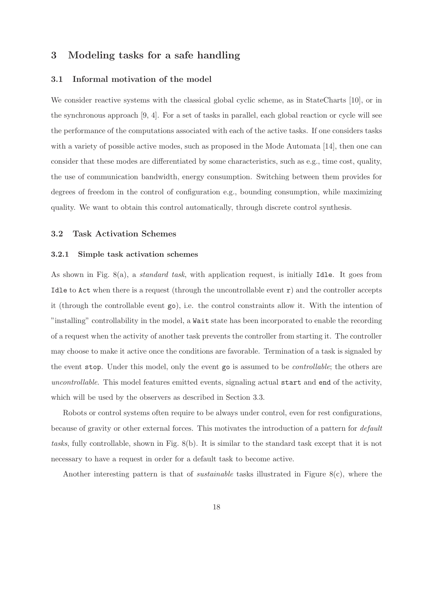## 3 Modeling tasks for a safe handling

## 3.1 Informal motivation of the model

We consider reactive systems with the classical global cyclic scheme, as in StateCharts [10], or in the synchronous approach [9, 4]. For a set of tasks in parallel, each global reaction or cycle will see the performance of the computations associated with each of the active tasks. If one considers tasks with a variety of possible active modes, such as proposed in the Mode Automata [14], then one can consider that these modes are differentiated by some characteristics, such as e.g., time cost, quality, the use of communication bandwidth, energy consumption. Switching between them provides for degrees of freedom in the control of configuration e.g., bounding consumption, while maximizing quality. We want to obtain this control automatically, through discrete control synthesis.

### 3.2 Task Activation Schemes

## 3.2.1 Simple task activation schemes

As shown in Fig. 8(a), a *standard task*, with application request, is initially Idle. It goes from Idle to Act when there is a request (through the uncontrollable event  $r$ ) and the controller accepts it (through the controllable event go), i.e. the control constraints allow it. With the intention of "installing" controllability in the model, a Wait state has been incorporated to enable the recording of a request when the activity of another task prevents the controller from starting it. The controller may choose to make it active once the conditions are favorable. Termination of a task is signaled by the event stop. Under this model, only the event go is assumed to be *controllable*; the others are *uncontrollable*. This model features emitted events, signaling actual start and end of the activity, which will be used by the observers as described in Section 3.3.

Robots or control systems often require to be always under control, even for rest configurations, because of gravity or other external forces. This motivates the introduction of a pattern for *default tasks*, fully controllable, shown in Fig. 8(b). It is similar to the standard task except that it is not necessary to have a request in order for a default task to become active.

Another interesting pattern is that of *sustainable* tasks illustrated in Figure 8(c), where the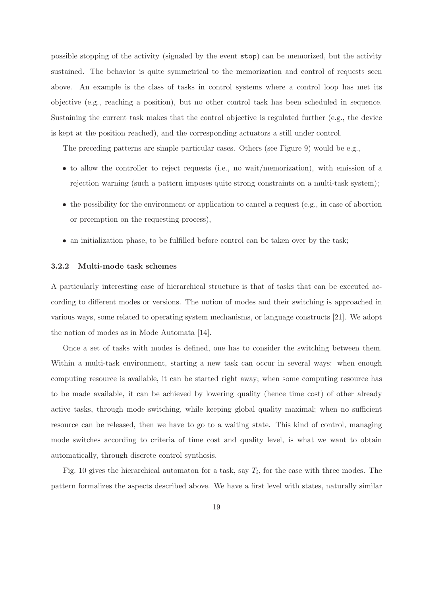possible stopping of the activity (signaled by the event stop) can be memorized, but the activity sustained. The behavior is quite symmetrical to the memorization and control of requests seen above. An example is the class of tasks in control systems where a control loop has met its objective (e.g., reaching a position), but no other control task has been scheduled in sequence. Sustaining the current task makes that the control objective is regulated further (e.g., the device is kept at the position reached), and the corresponding actuators a still under control.

The preceding patterns are simple particular cases. Others (see Figure 9) would be e.g.,

- to allow the controller to reject requests (i.e., no wait/memorization), with emission of a rejection warning (such a pattern imposes quite strong constraints on a multi-task system);
- the possibility for the environment or application to cancel a request (e.g., in case of abortion or preemption on the requesting process),
- an initialization phase, to be fulfilled before control can be taken over by the task;

## 3.2.2 Multi-mode task schemes

A particularly interesting case of hierarchical structure is that of tasks that can be executed according to different modes or versions. The notion of modes and their switching is approached in various ways, some related to operating system mechanisms, or language constructs [21]. We adopt the notion of modes as in Mode Automata [14].

Once a set of tasks with modes is defined, one has to consider the switching between them. Within a multi-task environment, starting a new task can occur in several ways: when enough computing resource is available, it can be started right away; when some computing resource has to be made available, it can be achieved by lowering quality (hence time cost) of other already active tasks, through mode switching, while keeping global quality maximal; when no sufficient resource can be released, then we have to go to a waiting state. This kind of control, managing mode switches according to criteria of time cost and quality level, is what we want to obtain automatically, through discrete control synthesis.

Fig. 10 gives the hierarchical automaton for a task, say  $T_i$ , for the case with three modes. The pattern formalizes the aspects described above. We have a first level with states, naturally similar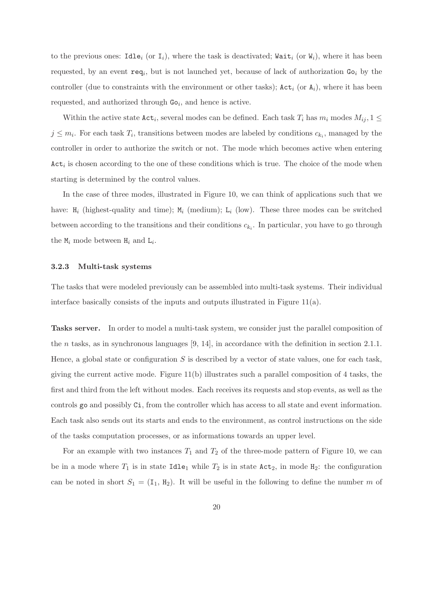to the previous ones:  $Idle_i$  (or  $I_i$ ), where the task is deactivated; Wait<sub>i</sub> (or W<sub>i</sub>), where it has been requested, by an event  $\texttt{req}_i$ , but is not launched yet, because of lack of authorization  $\texttt{Go}_i$  by the controller (due to constraints with the environment or other tasks);  $Act_i$  (or  $A_i$ ), where it has been requested, and authorized through  $Go_i$ , and hence is active.

Within the active state  $Act_i$ , several modes can be defined. Each task  $T_i$  has  $m_i$  modes  $M_{ij}$ ,  $1 \leq$  $j \leq m_i$ . For each task  $T_i$ , transitions between modes are labeled by conditions  $c_{k_i}$ , managed by the controller in order to authorize the switch or not. The mode which becomes active when entering  $Act_i$  is chosen according to the one of these conditions which is true. The choice of the mode when starting is determined by the control values.

In the case of three modes, illustrated in Figure 10, we can think of applications such that we have:  $H_i$  (highest-quality and time);  $M_i$  (medium);  $L_i$  (low). These three modes can be switched between according to the transitions and their conditions  $c_{k_i}$ . In particular, you have to go through the  $M_i$  mode between  $H_i$  and  $L_i$ .

## 3.2.3 Multi-task systems

The tasks that were modeled previously can be assembled into multi-task systems. Their individual interface basically consists of the inputs and outputs illustrated in Figure  $11(a)$ .

Tasks server. In order to model a multi-task system, we consider just the parallel composition of the n tasks, as in synchronous languages [9, 14], in accordance with the definition in section 2.1.1. Hence, a global state or configuration  $S$  is described by a vector of state values, one for each task, giving the current active mode. Figure 11(b) illustrates such a parallel composition of 4 tasks, the first and third from the left without modes. Each receives its requests and stop events, as well as the controls go and possibly Ci, from the controller which has access to all state and event information. Each task also sends out its starts and ends to the environment, as control instructions on the side of the tasks computation processes, or as informations towards an upper level.

For an example with two instances  $T_1$  and  $T_2$  of the three-mode pattern of Figure 10, we can be in a mode where  $T_1$  is in state  $Idle_1$  while  $T_2$  is in state  $Act_2$ , in mode  $H_2$ : the configuration can be noted in short  $S_1 = (I_1, H_2)$ . It will be useful in the following to define the number m of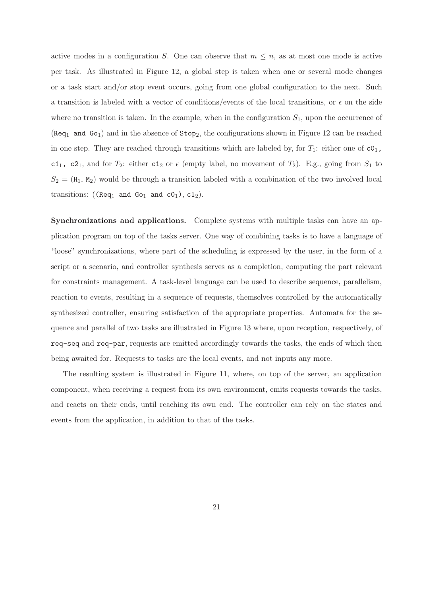active modes in a configuration S. One can observe that  $m \leq n$ , as at most one mode is active per task. As illustrated in Figure 12, a global step is taken when one or several mode changes or a task start and/or stop event occurs, going from one global configuration to the next. Such a transition is labeled with a vector of conditions/events of the local transitions, or  $\epsilon$  on the side where no transition is taken. In the example, when in the configuration  $S_1$ , upon the occurrence of (Req<sub>1</sub> and Go<sub>1</sub>) and in the absence of  $\text{Stop}_2$ , the configurations shown in Figure 12 can be reached in one step. They are reached through transitions which are labeled by, for  $T_1$ : either one of  $c0_1$ , c1<sub>1</sub>, c2<sub>1</sub>, and for  $T_2$ : either c1<sub>2</sub> or  $\epsilon$  (empty label, no movement of  $T_2$ ). E.g., going from  $S_1$  to  $S_2 = (H_1, M_2)$  would be through a transition labeled with a combination of the two involved local transitions: ((Req<sub>1</sub> and Go<sub>1</sub> and c0<sub>1</sub>), c1<sub>2</sub>).

Synchronizations and applications. Complete systems with multiple tasks can have an application program on top of the tasks server. One way of combining tasks is to have a language of "loose" synchronizations, where part of the scheduling is expressed by the user, in the form of a script or a scenario, and controller synthesis serves as a completion, computing the part relevant for constraints management. A task-level language can be used to describe sequence, parallelism, reaction to events, resulting in a sequence of requests, themselves controlled by the automatically synthesized controller, ensuring satisfaction of the appropriate properties. Automata for the sequence and parallel of two tasks are illustrated in Figure 13 where, upon reception, respectively, of req-seq and req-par, requests are emitted accordingly towards the tasks, the ends of which then being awaited for. Requests to tasks are the local events, and not inputs any more.

The resulting system is illustrated in Figure 11, where, on top of the server, an application component, when receiving a request from its own environment, emits requests towards the tasks, and reacts on their ends, until reaching its own end. The controller can rely on the states and events from the application, in addition to that of the tasks.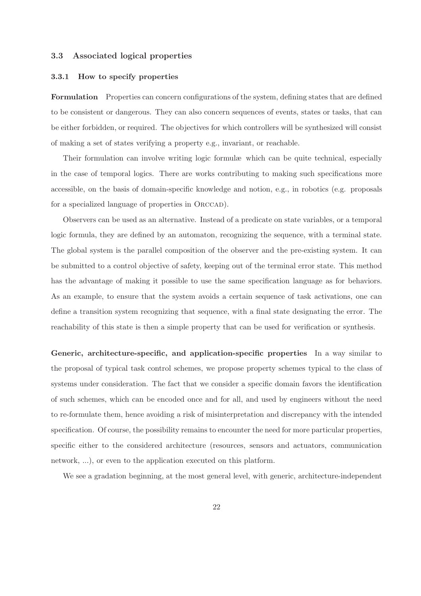## 3.3 Associated logical properties

#### 3.3.1 How to specify properties

Formulation Properties can concern configurations of the system, defining states that are defined to be consistent or dangerous. They can also concern sequences of events, states or tasks, that can be either forbidden, or required. The objectives for which controllers will be synthesized will consist of making a set of states verifying a property e.g., invariant, or reachable.

Their formulation can involve writing logic formulæ which can be quite technical, especially in the case of temporal logics. There are works contributing to making such specifications more accessible, on the basis of domain-specific knowledge and notion, e.g., in robotics (e.g. proposals for a specialized language of properties in ORCCAD).

Observers can be used as an alternative. Instead of a predicate on state variables, or a temporal logic formula, they are defined by an automaton, recognizing the sequence, with a terminal state. The global system is the parallel composition of the observer and the pre-existing system. It can be submitted to a control objective of safety, keeping out of the terminal error state. This method has the advantage of making it possible to use the same specification language as for behaviors. As an example, to ensure that the system avoids a certain sequence of task activations, one can define a transition system recognizing that sequence, with a final state designating the error. The reachability of this state is then a simple property that can be used for verification or synthesis.

Generic, architecture-specific, and application-specific properties In a way similar to the proposal of typical task control schemes, we propose property schemes typical to the class of systems under consideration. The fact that we consider a specific domain favors the identification of such schemes, which can be encoded once and for all, and used by engineers without the need to re-formulate them, hence avoiding a risk of misinterpretation and discrepancy with the intended specification. Of course, the possibility remains to encounter the need for more particular properties, specific either to the considered architecture (resources, sensors and actuators, communication network, ...), or even to the application executed on this platform.

We see a gradation beginning, at the most general level, with generic, architecture-independent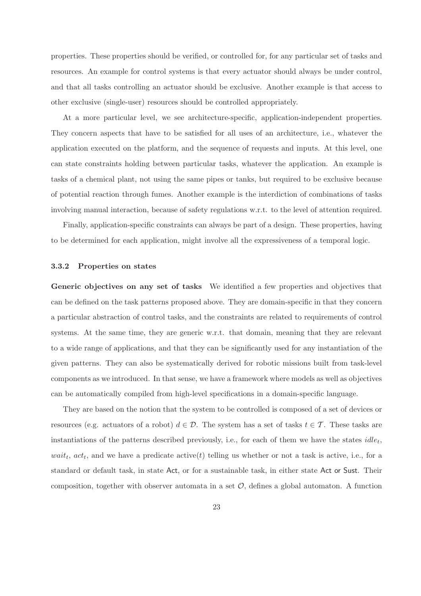properties. These properties should be verified, or controlled for, for any particular set of tasks and resources. An example for control systems is that every actuator should always be under control, and that all tasks controlling an actuator should be exclusive. Another example is that access to other exclusive (single-user) resources should be controlled appropriately.

At a more particular level, we see architecture-specific, application-independent properties. They concern aspects that have to be satisfied for all uses of an architecture, i.e., whatever the application executed on the platform, and the sequence of requests and inputs. At this level, one can state constraints holding between particular tasks, whatever the application. An example is tasks of a chemical plant, not using the same pipes or tanks, but required to be exclusive because of potential reaction through fumes. Another example is the interdiction of combinations of tasks involving manual interaction, because of safety regulations w.r.t. to the level of attention required.

Finally, application-specific constraints can always be part of a design. These properties, having to be determined for each application, might involve all the expressiveness of a temporal logic.

## 3.3.2 Properties on states

Generic objectives on any set of tasks We identified a few properties and objectives that can be defined on the task patterns proposed above. They are domain-specific in that they concern a particular abstraction of control tasks, and the constraints are related to requirements of control systems. At the same time, they are generic w.r.t. that domain, meaning that they are relevant to a wide range of applications, and that they can be significantly used for any instantiation of the given patterns. They can also be systematically derived for robotic missions built from task-level components as we introduced. In that sense, we have a framework where models as well as objectives can be automatically compiled from high-level specifications in a domain-specific language.

They are based on the notion that the system to be controlled is composed of a set of devices or resources (e.g. actuators of a robot)  $d \in \mathcal{D}$ . The system has a set of tasks  $t \in \mathcal{T}$ . These tasks are instantiations of the patterns described previously, i.e., for each of them we have the states  $idle_t$ ,  $wait_t$ ,  $act_t$ , and we have a predicate active(t) telling us whether or not a task is active, i.e., for a standard or default task, in state Act, or for a sustainable task, in either state Act or Sust. Their composition, together with observer automata in a set  $\mathcal{O}$ , defines a global automaton. A function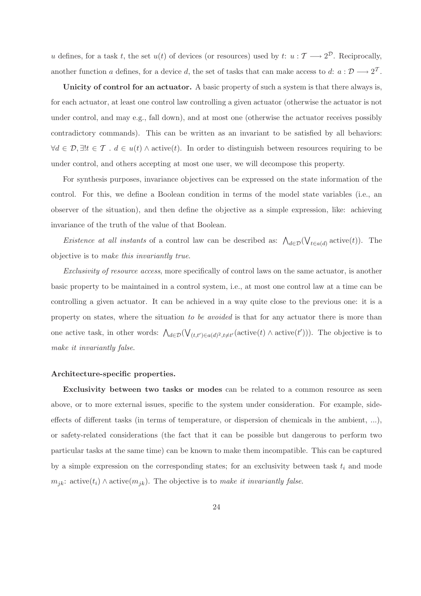u defines, for a task t, the set  $u(t)$  of devices (or resources) used by t:  $u: \mathcal{T} \longrightarrow 2^{\mathcal{D}}$ . Reciprocally, another function a defines, for a device d, the set of tasks that can make access to d:  $a: \mathcal{D} \longrightarrow 2^{\mathcal{T}}$ .

Unicity of control for an actuator. A basic property of such a system is that there always is, for each actuator, at least one control law controlling a given actuator (otherwise the actuator is not under control, and may e.g., fall down), and at most one (otherwise the actuator receives possibly contradictory commands). This can be written as an invariant to be satisfied by all behaviors:  $\forall d \in \mathcal{D}, \exists ! t \in \mathcal{T} \; . \; d \in u(t) \land \text{active}(t).$  In order to distinguish between resources requiring to be under control, and others accepting at most one user, we will decompose this property.

For synthesis purposes, invariance objectives can be expressed on the state information of the control. For this, we define a Boolean condition in terms of the model state variables (i.e., an observer of the situation), and then define the objective as a simple expression, like: achieving invariance of the truth of the value of that Boolean.

*Existence at all instants* of a control law can be described as:  $\bigwedge_{d \in \mathcal{D}} (\bigvee_{t \in a(d)} \text{active}(t))$ . The objective is to *make this invariantly true*.

*Exclusivity of resource access*, more specifically of control laws on the same actuator, is another basic property to be maintained in a control system, i.e., at most one control law at a time can be controlling a given actuator. It can be achieved in a way quite close to the previous one: it is a property on states, where the situation *to be avoided* is that for any actuator there is more than one active task, in other words:  $\bigwedge_{d \in \mathcal{D}} (\bigvee_{(t,t') \in a(d)^2, t \neq t'} (\text{active}(t) \land \text{active}(t'))).$  The objective is to *make it invariantly false*.

#### Architecture-specific properties.

Exclusivity between two tasks or modes can be related to a common resource as seen above, or to more external issues, specific to the system under consideration. For example, sideeffects of different tasks (in terms of temperature, or dispersion of chemicals in the ambient, ...), or safety-related considerations (the fact that it can be possible but dangerous to perform two particular tasks at the same time) can be known to make them incompatible. This can be captured by a simple expression on the corresponding states; for an exclusivity between task  $t_i$  and mode  $m_{ik}$ : active $(t_i) \wedge$  active $(m_{ik})$ . The objective is to *make it invariantly false*.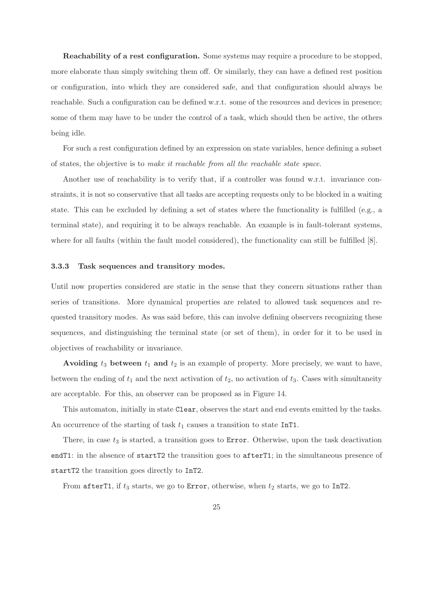Reachability of a rest configuration. Some systems may require a procedure to be stopped, more elaborate than simply switching them off. Or similarly, they can have a defined rest position or configuration, into which they are considered safe, and that configuration should always be reachable. Such a configuration can be defined w.r.t. some of the resources and devices in presence; some of them may have to be under the control of a task, which should then be active, the others being idle.

For such a rest configuration defined by an expression on state variables, hence defining a subset of states, the objective is to *make it reachable from all the reachable state space*.

Another use of reachability is to verify that, if a controller was found w.r.t. invariance constraints, it is not so conservative that all tasks are accepting requests only to be blocked in a waiting state. This can be excluded by defining a set of states where the functionality is fulfilled (e.g., a terminal state), and requiring it to be always reachable. An example is in fault-tolerant systems, where for all faults (within the fault model considered), the functionality can still be fulfilled [8].

## 3.3.3 Task sequences and transitory modes.

Until now properties considered are static in the sense that they concern situations rather than series of transitions. More dynamical properties are related to allowed task sequences and requested transitory modes. As was said before, this can involve defining observers recognizing these sequences, and distinguishing the terminal state (or set of them), in order for it to be used in objectives of reachability or invariance.

Avoiding  $t_3$  between  $t_1$  and  $t_2$  is an example of property. More precisely, we want to have, between the ending of  $t_1$  and the next activation of  $t_2$ , no activation of  $t_3$ . Cases with simultaneity are acceptable. For this, an observer can be proposed as in Figure 14.

This automaton, initially in state Clear, observes the start and end events emitted by the tasks. An occurrence of the starting of task  $t_1$  causes a transition to state InT1.

There, in case  $t_3$  is started, a transition goes to Error. Otherwise, upon the task deactivation endT1: in the absence of startT2 the transition goes to afterT1; in the simultaneous presence of startT2 the transition goes directly to InT2.

From after T1, if  $t_3$  starts, we go to Error, otherwise, when  $t_2$  starts, we go to InT2.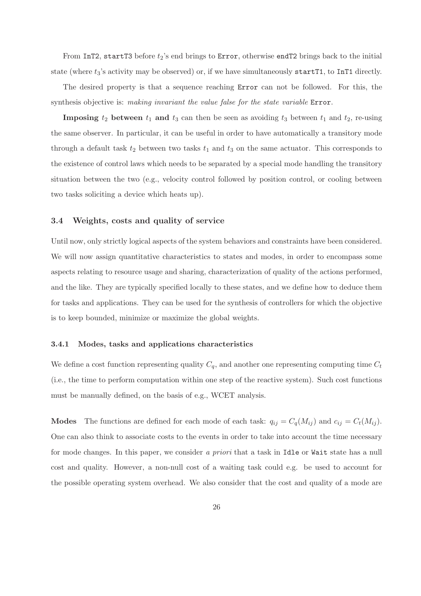From InT2, startT3 before  $t_2$ 's end brings to Error, otherwise endT2 brings back to the initial state (where  $t_3$ 's activity may be observed) or, if we have simultaneously startT1, to InT1 directly.

The desired property is that a sequence reaching Error can not be followed. For this, the synthesis objective is: *making invariant the value false for the state variable* Error.

**Imposing**  $t_2$  between  $t_1$  and  $t_3$  can then be seen as avoiding  $t_3$  between  $t_1$  and  $t_2$ , re-using the same observer. In particular, it can be useful in order to have automatically a transitory mode through a default task  $t_2$  between two tasks  $t_1$  and  $t_3$  on the same actuator. This corresponds to the existence of control laws which needs to be separated by a special mode handling the transitory situation between the two (e.g., velocity control followed by position control, or cooling between two tasks soliciting a device which heats up).

## 3.4 Weights, costs and quality of service

Until now, only strictly logical aspects of the system behaviors and constraints have been considered. We will now assign quantitative characteristics to states and modes, in order to encompass some aspects relating to resource usage and sharing, characterization of quality of the actions performed, and the like. They are typically specified locally to these states, and we define how to deduce them for tasks and applications. They can be used for the synthesis of controllers for which the objective is to keep bounded, minimize or maximize the global weights.

## 3.4.1 Modes, tasks and applications characteristics

We define a cost function representing quality  $C_q$ , and another one representing computing time  $C_t$ (i.e., the time to perform computation within one step of the reactive system). Such cost functions must be manually defined, on the basis of e.g., WCET analysis.

**Modes** The functions are defined for each mode of each task:  $q_{ij} = C_q(M_{ij})$  and  $c_{ij} = C_t(M_{ij})$ . One can also think to associate costs to the events in order to take into account the time necessary for mode changes. In this paper, we consider *a priori* that a task in Idle or Wait state has a null cost and quality. However, a non-null cost of a waiting task could e.g. be used to account for the possible operating system overhead. We also consider that the cost and quality of a mode are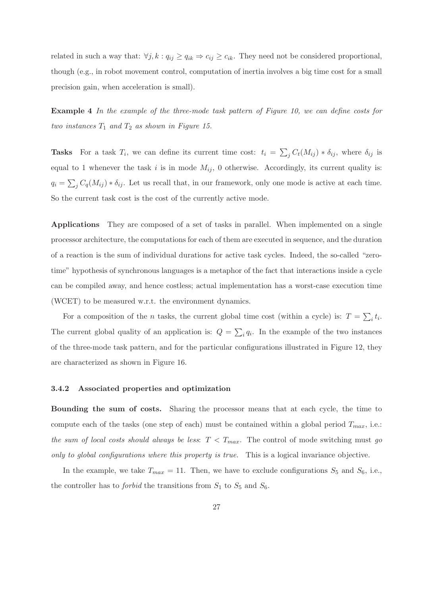related in such a way that:  $\forall j, k : q_{ij} \geq q_{ik} \Rightarrow c_{ij} \geq c_{ik}$ . They need not be considered proportional, though (e.g., in robot movement control, computation of inertia involves a big time cost for a small precision gain, when acceleration is small).

Example 4 *In the example of the three-mode task pattern of Figure 10, we can define costs for two instances* T<sup>1</sup> *and* T<sup>2</sup> *as shown in Figure 15.*

**Tasks** For a task  $T_i$ , we can define its current time cost:  $t_i = \sum_j C_t(M_{ij}) * \delta_{ij}$ , where  $\delta_{ij}$  is equal to 1 whenever the task i is in mode  $M_{ij}$ , 0 otherwise. Accordingly, its current quality is:  $q_i = \sum_j C_q(M_{ij}) * \delta_{ij}$ . Let us recall that, in our framework, only one mode is active at each time. So the current task cost is the cost of the currently active mode.

Applications They are composed of a set of tasks in parallel. When implemented on a single processor architecture, the computations for each of them are executed in sequence, and the duration of a reaction is the sum of individual durations for active task cycles. Indeed, the so-called "zerotime" hypothesis of synchronous languages is a metaphor of the fact that interactions inside a cycle can be compiled away, and hence costless; actual implementation has a worst-case execution time (WCET) to be measured w.r.t. the environment dynamics.

For a composition of the *n* tasks, the current global time cost (within a cycle) is:  $T = \sum_i t_i$ . The current global quality of an application is:  $Q = \sum_i q_i$ . In the example of the two instances of the three-mode task pattern, and for the particular configurations illustrated in Figure 12, they are characterized as shown in Figure 16.

#### 3.4.2 Associated properties and optimization

Bounding the sum of costs. Sharing the processor means that at each cycle, the time to compute each of the tasks (one step of each) must be contained within a global period  $T_{max}$ , i.e.: *the sum of local costs should always be less:*  $T < T_{max}$ . The control of mode switching must go *only to global configurations where this property is true.* This is a logical invariance objective.

In the example, we take  $T_{max} = 11$ . Then, we have to exclude configurations  $S_5$  and  $S_6$ , i.e., the controller has to *forbid* the transitions from  $S_1$  to  $S_5$  and  $S_6$ .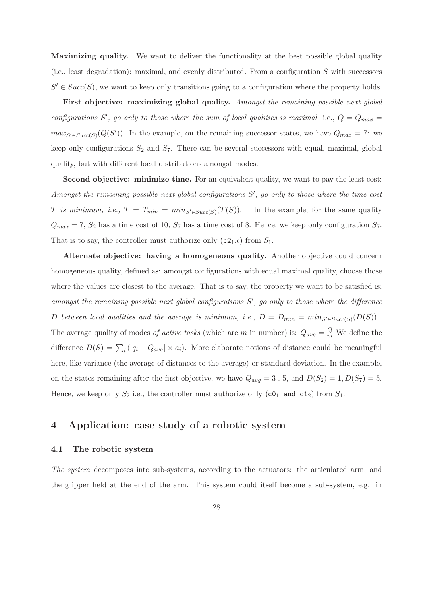Maximizing quality. We want to deliver the functionality at the best possible global quality (i.e., least degradation): maximal, and evenly distributed. From a configuration S with successors  $S' \in Succ(S)$ , we want to keep only transitions going to a configuration where the property holds.

First objective: maximizing global quality. *Amongst the remaining possible next global configurations* S', go only to those where the sum of local qualities is maximal i.e.,  $Q = Q_{max} =$  $max_{S' \in Succ(S)}(Q(S'))$ . In the example, on the remaining successor states, we have  $Q_{max} = 7$ : we keep only configurations  $S_2$  and  $S_7$ . There can be several successors with equal, maximal, global quality, but with different local distributions amongst modes.

Second objective: minimize time. For an equivalent quality, we want to pay the least cost: *Amongst the remaining possible next global configurations* S ′ *, go only to those where the time cost* T is minimum, i.e.,  $T = T_{min} = min_{S' \in Succ(S)}(T(S)).$ In the example, for the same quality  $Q_{max} = 7$ ,  $S_2$  has a time cost of 10,  $S_7$  has a time cost of 8. Hence, we keep only configuration  $S_7$ . That is to say, the controller must authorize only  $(c2_1,\epsilon)$  from  $S_1$ .

Alternate objective: having a homogeneous quality. Another objective could concern homogeneous quality, defined as: amongst configurations with equal maximal quality, choose those where the values are closest to the average. That is to say, the property we want to be satisfied is: amongst the remaining possible next global configurations  $S'$ , go only to those where the difference D between local qualities and the average is minimum, i.e.,  $D = D_{min} = min_{S' \in Succ(S)}(D(S))$ . The average quality of modes *of active tasks* (which are m in number) is:  $Q_{avg} = \frac{Q}{m}$  We define the difference  $D(S) = \sum_i (|q_i - Q_{avg}| \times a_i)$ . More elaborate notions of distance could be meaningful here, like variance (the average of distances to the average) or standard deviation. In the example, on the states remaining after the first objective, we have  $Q_{avg} = 3$ . 5, and  $D(S_2) = 1, D(S_7) = 5$ . Hence, we keep only  $S_2$  i.e., the controller must authorize only (c0<sub>1</sub> and c1<sub>2</sub>) from  $S_1$ .

# 4 Application: case study of a robotic system

## 4.1 The robotic system

*The system* decomposes into sub-systems, according to the actuators: the articulated arm, and the gripper held at the end of the arm. This system could itself become a sub-system, e.g. in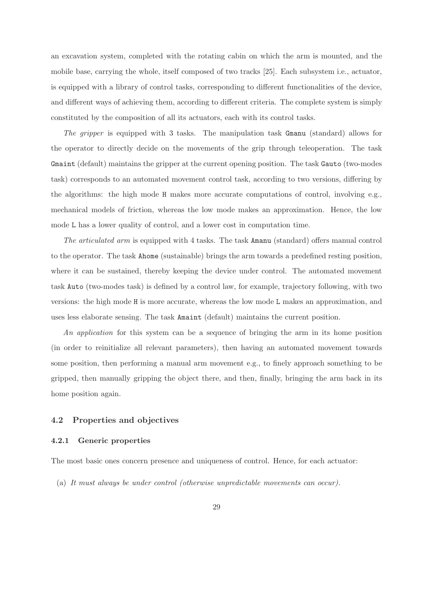an excavation system, completed with the rotating cabin on which the arm is mounted, and the mobile base, carrying the whole, itself composed of two tracks [25]. Each subsystem i.e., actuator, is equipped with a library of control tasks, corresponding to different functionalities of the device, and different ways of achieving them, according to different criteria. The complete system is simply constituted by the composition of all its actuators, each with its control tasks.

*The gripper* is equipped with 3 tasks. The manipulation task Gmanu (standard) allows for the operator to directly decide on the movements of the grip through teleoperation. The task Gmaint (default) maintains the gripper at the current opening position. The task Gauto (two-modes task) corresponds to an automated movement control task, according to two versions, differing by the algorithms: the high mode H makes more accurate computations of control, involving e.g., mechanical models of friction, whereas the low mode makes an approximation. Hence, the low mode L has a lower quality of control, and a lower cost in computation time.

*The articulated arm* is equipped with 4 tasks. The task Amanu (standard) offers manual control to the operator. The task Ahome (sustainable) brings the arm towards a predefined resting position, where it can be sustained, thereby keeping the device under control. The automated movement task Auto (two-modes task) is defined by a control law, for example, trajectory following, with two versions: the high mode H is more accurate, whereas the low mode L makes an approximation, and uses less elaborate sensing. The task Amaint (default) maintains the current position.

*An application* for this system can be a sequence of bringing the arm in its home position (in order to reinitialize all relevant parameters), then having an automated movement towards some position, then performing a manual arm movement e.g., to finely approach something to be gripped, then manually gripping the object there, and then, finally, bringing the arm back in its home position again.

## 4.2 Properties and objectives

## 4.2.1 Generic properties

The most basic ones concern presence and uniqueness of control. Hence, for each actuator:

(a) *It must always be under control (otherwise unpredictable movements can occur).*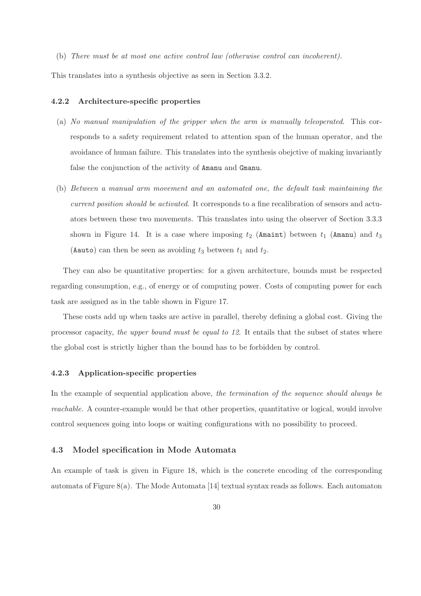(b) *There must be at most one active control law (otherwise control can incoherent).*

This translates into a synthesis objective as seen in Section 3.3.2.

## 4.2.2 Architecture-specific properties

- (a) *No manual manipulation of the gripper when the arm is manually teleoperated*. This corresponds to a safety requirement related to attention span of the human operator, and the avoidance of human failure. This translates into the synthesis obejctive of making invariantly false the conjunction of the activity of Amanu and Gmanu.
- (b) *Between a manual arm movement and an automated one, the default task maintaining the current position should be activated*. It corresponds to a fine recalibration of sensors and actuators between these two movements. This translates into using the observer of Section 3.3.3 shown in Figure 14. It is a case where imposing  $t_2$  (Amaint) between  $t_1$  (Amanu) and  $t_3$ (Aauto) can then be seen as avoiding  $t_3$  between  $t_1$  and  $t_2$ .

They can also be quantitative properties: for a given architecture, bounds must be respected regarding consumption, e.g., of energy or of computing power. Costs of computing power for each task are assigned as in the table shown in Figure 17.

These costs add up when tasks are active in parallel, thereby defining a global cost. Giving the processor capacity, *the upper bound must be equal to 12*. It entails that the subset of states where the global cost is strictly higher than the bound has to be forbidden by control.

#### 4.2.3 Application-specific properties

In the example of sequential application above, *the termination of the sequence should always be reachable*. A counter-example would be that other properties, quantitative or logical, would involve control sequences going into loops or waiting configurations with no possibility to proceed.

## 4.3 Model specification in Mode Automata

An example of task is given in Figure 18, which is the concrete encoding of the corresponding automata of Figure 8(a). The Mode Automata [14] textual syntax reads as follows. Each automaton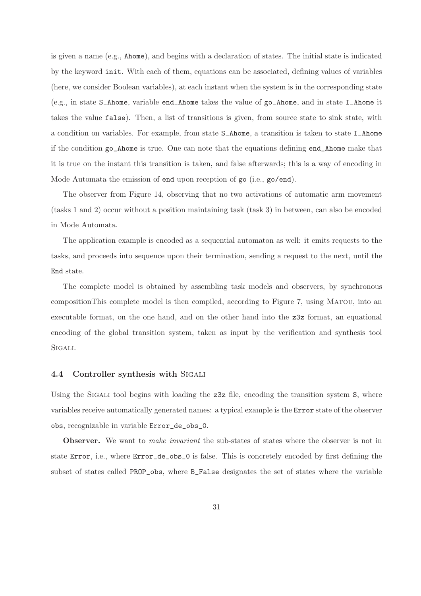is given a name (e.g., Ahome), and begins with a declaration of states. The initial state is indicated by the keyword init. With each of them, equations can be associated, defining values of variables (here, we consider Boolean variables), at each instant when the system is in the corresponding state (e.g., in state S\_Ahome, variable end\_Ahome takes the value of go\_Ahome, and in state I\_Ahome it takes the value false). Then, a list of transitions is given, from source state to sink state, with a condition on variables. For example, from state S\_Ahome, a transition is taken to state I\_Ahome if the condition go\_Ahome is true. One can note that the equations defining end\_Ahome make that it is true on the instant this transition is taken, and false afterwards; this is a way of encoding in Mode Automata the emission of end upon reception of go (i.e., go/end).

The observer from Figure 14, observing that no two activations of automatic arm movement (tasks 1 and 2) occur without a position maintaining task (task 3) in between, can also be encoded in Mode Automata.

The application example is encoded as a sequential automaton as well: it emits requests to the tasks, and proceeds into sequence upon their termination, sending a request to the next, until the End state.

The complete model is obtained by assembling task models and observers, by synchronous compositionThis complete model is then compiled, according to Figure 7, using Matou, into an executable format, on the one hand, and on the other hand into the z3z format, an equational encoding of the global transition system, taken as input by the verification and synthesis tool Sigali.

## 4.4 Controller synthesis with SIGALI

Using the SIGALI tool begins with loading the z3z file, encoding the transition system S, where variables receive automatically generated names: a typical example is the Error state of the observer obs, recognizable in variable Error\_de\_obs\_0.

Observer. We want to *make invariant* the sub-states of states where the observer is not in state Error, i.e., where Error\_de\_obs\_0 is false. This is concretely encoded by first defining the subset of states called PROP\_obs, where B\_False designates the set of states where the variable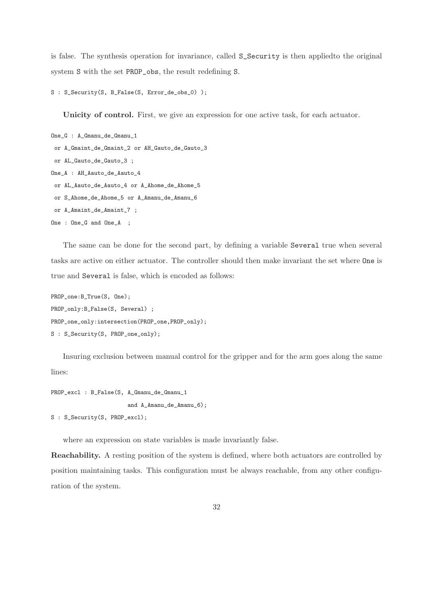is false. The synthesis operation for invariance, called S\_Security is then appliedto the original system S with the set PROP\_obs, the result redefining S.

```
S : S_Security(S, B_False(S, Error_de_obs_0) );
```
Unicity of control. First, we give an expression for one active task, for each actuator.

```
One_G : A_Gmanu_de_Gmanu_1
or A_Gmaint_de_Gmaint_2 or AH_Gauto_de_Gauto_3
or AL_Gauto_de_Gauto_3 ;
One_A : AH_Aauto_de_Aauto_4
or AL_Aauto_de_Aauto_4 or A_Ahome_de_Ahome_5
or S_Ahome_de_Ahome_5 or A_Amanu_de_Amanu_6
or A_Amaint_de_Amaint_7 ;
One : One_G and One_A ;
```
The same can be done for the second part, by defining a variable Several true when several tasks are active on either actuator. The controller should then make invariant the set where One is true and Several is false, which is encoded as follows:

```
PROP_one:B_True(S, One);
PROP_only:B_False(S, Several) ;
PROP_one_only:intersection(PROP_one,PROP_only);
S : S_Security(S, PROP_one_only);
```
Insuring exclusion between manual control for the gripper and for the arm goes along the same lines:

```
PROP_excl : B_False(S, A_Gmanu_de_Gmanu_1
                       and A_Amanu_de_Amanu_6);
S : S_Security(S, PROP_excl);
```
where an expression on state variables is made invariantly false.

Reachability. A resting position of the system is defined, where both actuators are controlled by position maintaining tasks. This configuration must be always reachable, from any other configuration of the system.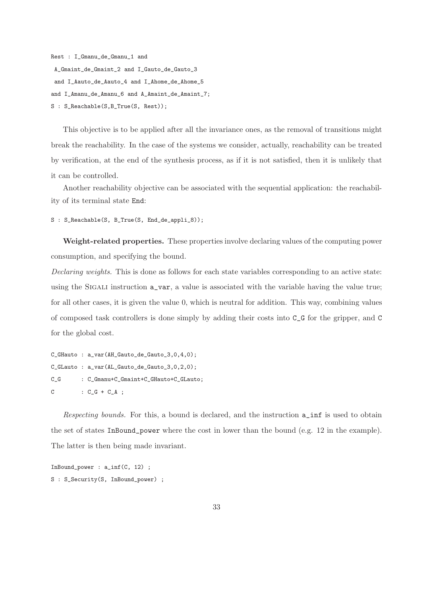```
Rest : I_Gmanu_de_Gmanu_1 and
A_Gmaint_de_Gmaint_2 and I_Gauto_de_Gauto_3
and I_Aauto_de_Aauto_4 and I_Ahome_de_Ahome_5
and I_Amanu_de_Amanu_6 and A_Amaint_de_Amaint_7;
S : S_Reachable(S,B_True(S, Rest));
```
This objective is to be applied after all the invariance ones, as the removal of transitions might break the reachability. In the case of the systems we consider, actually, reachability can be treated by verification, at the end of the synthesis process, as if it is not satisfied, then it is unlikely that it can be controlled.

Another reachability objective can be associated with the sequential application: the reachability of its terminal state End:

```
S : S_Reachable(S, B_True(S, End_de_appli_8));
```
Weight-related properties. These properties involve declaring values of the computing power consumption, and specifying the bound.

*Declaring weights.* This is done as follows for each state variables corresponding to an active state: using the SIGALI instruction  $a\_\text{var}$ , a value is associated with the variable having the value true; for all other cases, it is given the value 0, which is neutral for addition. This way, combining values of composed task controllers is done simply by adding their costs into C\_G for the gripper, and C for the global cost.

C\_GHauto : a\_var(AH\_Gauto\_de\_Gauto\_3,0,4,0); C\_GLauto : a\_var(AL\_Gauto\_de\_Gauto\_3,0,2,0); C\_G : C\_Gmanu+C\_Gmaint+C\_GHauto+C\_GLauto;  $C \t C \t C \t C \t C \t A \t ;$ 

*Respecting bounds.* For this, a bound is declared, and the instruction a\_inf is used to obtain the set of states InBound\_power where the cost in lower than the bound (e.g. 12 in the example). The latter is then being made invariant.

InBound\_power : a\_inf(C, 12) ; S : S\_Security(S, InBound\_power) ;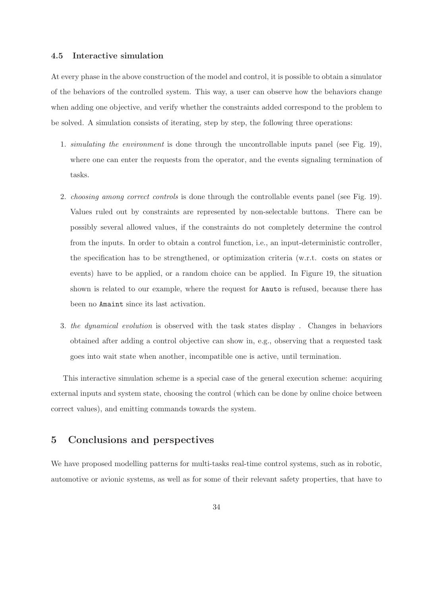## 4.5 Interactive simulation

At every phase in the above construction of the model and control, it is possible to obtain a simulator of the behaviors of the controlled system. This way, a user can observe how the behaviors change when adding one objective, and verify whether the constraints added correspond to the problem to be solved. A simulation consists of iterating, step by step, the following three operations:

- 1. *simulating the environment* is done through the uncontrollable inputs panel (see Fig. 19), where one can enter the requests from the operator, and the events signaling termination of tasks.
- 2. *choosing among correct controls* is done through the controllable events panel (see Fig. 19). Values ruled out by constraints are represented by non-selectable buttons. There can be possibly several allowed values, if the constraints do not completely determine the control from the inputs. In order to obtain a control function, i.e., an input-deterministic controller, the specification has to be strengthened, or optimization criteria (w.r.t. costs on states or events) have to be applied, or a random choice can be applied. In Figure 19, the situation shown is related to our example, where the request for Aauto is refused, because there has been no Amaint since its last activation.
- 3. *the dynamical evolution* is observed with the task states display . Changes in behaviors obtained after adding a control objective can show in, e.g., observing that a requested task goes into wait state when another, incompatible one is active, until termination.

This interactive simulation scheme is a special case of the general execution scheme: acquiring external inputs and system state, choosing the control (which can be done by online choice between correct values), and emitting commands towards the system.

# 5 Conclusions and perspectives

We have proposed modelling patterns for multi-tasks real-time control systems, such as in robotic, automotive or avionic systems, as well as for some of their relevant safety properties, that have to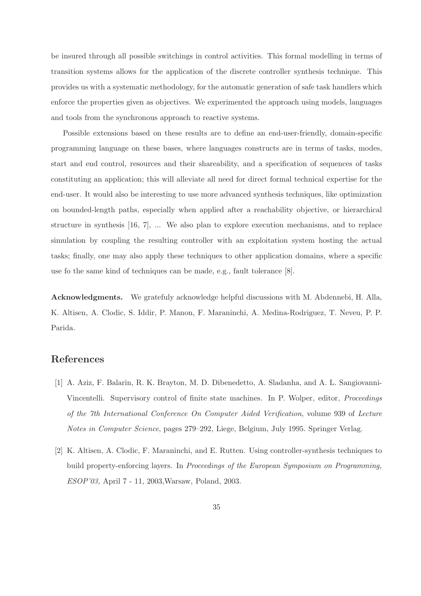be insured through all possible switchings in control activities. This formal modelling in terms of transition systems allows for the application of the discrete controller synthesis technique. This provides us with a systematic methodology, for the automatic generation of safe task handlers which enforce the properties given as objectives. We experimented the approach using models, languages and tools from the synchronous approach to reactive systems.

Possible extensions based on these results are to define an end-user-friendly, domain-specific programming language on these bases, where languages constructs are in terms of tasks, modes, start and end control, resources and their shareability, and a specification of sequences of tasks constituting an application; this will alleviate all need for direct formal technical expertise for the end-user. It would also be interesting to use more advanced synthesis techniques, like optimization on bounded-length paths, especially when applied after a reachability objective, or hierarchical structure in synthesis [16, 7], ... We also plan to explore execution mechanisms, and to replace simulation by coupling the resulting controller with an exploitation system hosting the actual tasks; finally, one may also apply these techniques to other application domains, where a specific use fo the same kind of techniques can be made, e.g., fault tolerance [8].

Acknowledgments. We gratefuly acknowledge helpful discussions with M. Abdennebi, H. Alla, K. Altisen, A. Clodic, S. Iddir, P. Manon, F. Maraninchi, A. Medina-Rodriguez, T. Neveu, P. P. Parida.

## References

- [1] A. Aziz, F. Balarin, R. K. Brayton, M. D. Dibenedetto, A. Sladanha, and A. L. Sangiovanni-Vincentelli. Supervisory control of finite state machines. In P. Wolper, editor, *Proceedings of the 7th International Conference On Computer Aided Verification*, volume 939 of *Lecture Notes in Computer Science*, pages 279–292, Liege, Belgium, July 1995. Springer Verlag.
- [2] K. Altisen, A. Clodic, F. Maraninchi, and E. Rutten. Using controller-synthesis techniques to build property-enforcing layers. In *Proceedings of the European Symposium on Programming, ESOP'03,* April 7 - 11, 2003,Warsaw, Poland, 2003.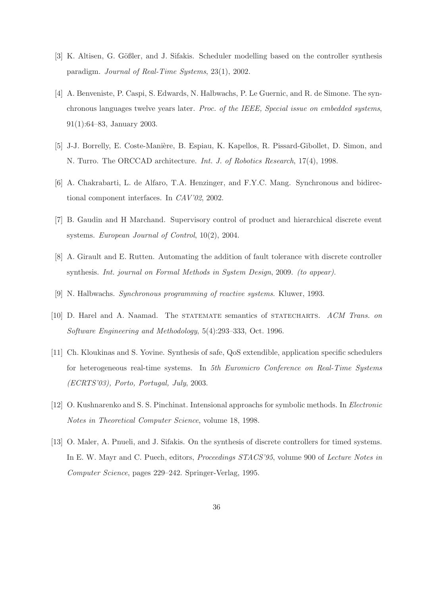- [3] K. Altisen, G. Gößler, and J. Sifakis. Scheduler modelling based on the controller synthesis paradigm. *Journal of Real-Time Systems*, 23(1), 2002.
- [4] A. Benveniste, P. Caspi, S. Edwards, N. Halbwachs, P. Le Guernic, and R. de Simone. The synchronous languages twelve years later. *Proc. of the IEEE, Special issue on embedded systems*, 91(1):64–83, January 2003.
- [5] J-J. Borrelly, E. Coste-Manière, B. Espiau, K. Kapellos, R. Pissard-Gibollet, D. Simon, and N. Turro. The ORCCAD architecture. *Int. J. of Robotics Research*, 17(4), 1998.
- [6] A. Chakrabarti, L. de Alfaro, T.A. Henzinger, and F.Y.C. Mang. Synchronous and bidirectional component interfaces. In *CAV'02*, 2002.
- [7] B. Gaudin and H Marchand. Supervisory control of product and hierarchical discrete event systems. *European Journal of Control*, 10(2), 2004.
- [8] A. Girault and E. Rutten. Automating the addition of fault tolerance with discrete controller synthesis. *Int. journal on Formal Methods in System Design*, 2009. *(to appear)*.
- [9] N. Halbwachs. *Synchronous programming of reactive systems*. Kluwer, 1993.
- [10] D. Harel and A. Naamad. The statemate semantics of statecharts. *ACM Trans. on Software Engineering and Methodology*, 5(4):293–333, Oct. 1996.
- [11] Ch. Kloukinas and S. Yovine. Synthesis of safe, QoS extendible, application specific schedulers for heterogeneous real-time systems. In *5th Euromicro Conference on Real-Time Systems (ECRTS'03), Porto, Portugal, July*, 2003.
- [12] O. Kushnarenko and S. S. Pinchinat. Intensional approachs for symbolic methods. In *Electronic Notes in Theoretical Computer Science*, volume 18, 1998.
- [13] O. Maler, A. Pnueli, and J. Sifakis. On the synthesis of discrete controllers for timed systems. In E. W. Mayr and C. Puech, editors, *Proceedings STACS'95*, volume 900 of *Lecture Notes in Computer Science*, pages 229–242. Springer-Verlag, 1995.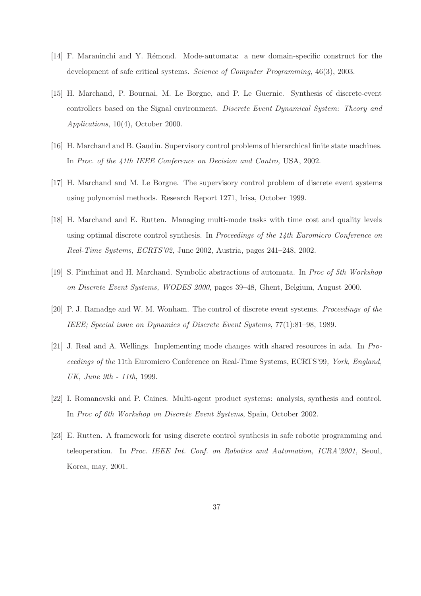- [14] F. Maraninchi and Y. Rémond. Mode-automata: a new domain-specific construct for the development of safe critical systems. *Science of Computer Programming*, 46(3), 2003.
- [15] H. Marchand, P. Bournai, M. Le Borgne, and P. Le Guernic. Synthesis of discrete-event controllers based on the Signal environment. *Discrete Event Dynamical System: Theory and Applications*, 10(4), October 2000.
- [16] H. Marchand and B. Gaudin. Supervisory control problems of hierarchical finite state machines. In *Proc. of the 41th IEEE Conference on Decision and Contro,* USA, 2002.
- [17] H. Marchand and M. Le Borgne. The supervisory control problem of discrete event systems using polynomial methods. Research Report 1271, Irisa, October 1999.
- [18] H. Marchand and E. Rutten. Managing multi-mode tasks with time cost and quality levels using optimal discrete control synthesis. In *Proceedings of the 14th Euromicro Conference on Real-Time Systems, ECRTS'02,* June 2002, Austria, pages 241–248, 2002.
- [19] S. Pinchinat and H. Marchand. Symbolic abstractions of automata. In *Proc of 5th Workshop on Discrete Event Systems, WODES 2000*, pages 39–48, Ghent, Belgium, August 2000.
- [20] P. J. Ramadge and W. M. Wonham. The control of discrete event systems. *Proceedings of the IEEE; Special issue on Dynamics of Discrete Event Systems*, 77(1):81–98, 1989.
- [21] J. Real and A. Wellings. Implementing mode changes with shared resources in ada. In *Proceedings of the* 11th Euromicro Conference on Real-Time Systems, ECRTS'99*, York, England, UK, June 9th - 11th*, 1999.
- [22] I. Romanovski and P. Caines. Multi-agent product systems: analysis, synthesis and control. In *Proc of 6th Workshop on Discrete Event Systems*, Spain, October 2002.
- [23] E. Rutten. A framework for using discrete control synthesis in safe robotic programming and teleoperation. In *Proc. IEEE Int. Conf. on Robotics and Automation, ICRA'2001,* Seoul, Korea, may, 2001.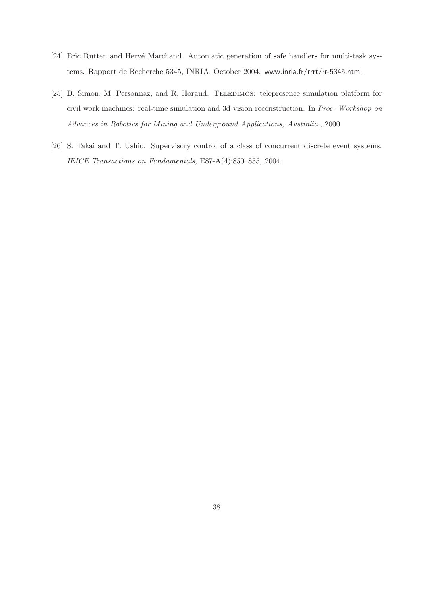- [24] Eric Rutten and Hervé Marchand. Automatic generation of safe handlers for multi-task systems. Rapport de Recherche 5345, INRIA, October 2004. www.inria.fr/rrrt/rr-5345.html.
- [25] D. Simon, M. Personnaz, and R. Horaud. TELEDIMOS: telepresence simulation platform for civil work machines: real-time simulation and 3d vision reconstruction. In *Proc. Workshop on Advances in Robotics for Mining and Underground Applications, Australia,*, 2000.
- [26] S. Takai and T. Ushio. Supervisory control of a class of concurrent discrete event systems. *IEICE Transactions on Fundamentals*, E87-A(4):850–855, 2004.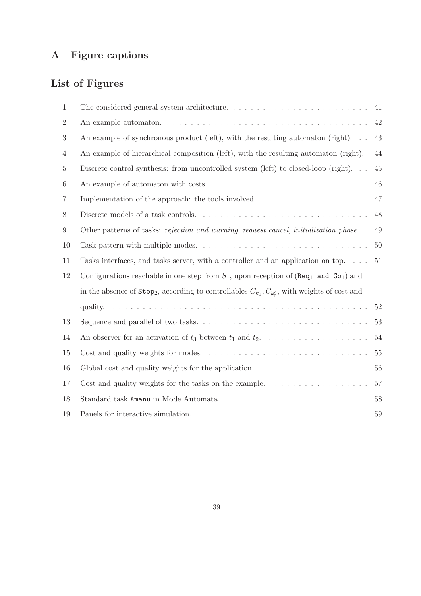# A Figure captions

# List of Figures

| $\mathbf{1}$    |                                                                                                                   | 41 |
|-----------------|-------------------------------------------------------------------------------------------------------------------|----|
| $\overline{2}$  |                                                                                                                   | 42 |
| 3               | An example of synchronous product (left), with the resulting automaton (right). $\ldots$                          | 43 |
| $\overline{4}$  | An example of hierarchical composition (left), with the resulting automaton (right).                              | 44 |
| $\overline{5}$  | Discrete control synthesis: from uncontrolled system (left) to closed-loop (right). $\ldots$                      | 45 |
| $6\phantom{.}6$ |                                                                                                                   | 46 |
| 7               | Implementation of the approach: the tools involved. $\dots \dots \dots \dots \dots \dots$                         | 47 |
| 8               | Discrete models of a task controls. $\dots \dots \dots \dots \dots \dots \dots \dots \dots \dots \dots \dots$     | 48 |
| 9               | Other patterns of tasks: rejection and warning, request cancel, initialization phase                              | 49 |
| 10              |                                                                                                                   | 50 |
| 11              | Tasks interfaces, and tasks server, with a controller and an application on top                                   | 51 |
| 12              | Configurations reachable in one step from $S_1$ , upon reception of (Req <sub>1</sub> and Go <sub>1</sub> ) and   |    |
|                 | in the absence of $\text{Stop}_2$ , according to controllables $C_{k_1}, C_{k'_2}$ , with weights of cost and     |    |
|                 | quality.                                                                                                          | 52 |
| 13              |                                                                                                                   | 53 |
| 14              | An observer for an activation of $t_3$ between $t_1$ and $t_2$ .                                                  | 54 |
| 15              |                                                                                                                   | 55 |
| 16              |                                                                                                                   | 56 |
| 17              | Cost and quality weights for the tasks on the example. $\dots \dots \dots \dots \dots \dots$                      | 57 |
| 18              |                                                                                                                   | 58 |
| 19              | Panels for interactive simulation. $\ldots \ldots \ldots \ldots \ldots \ldots \ldots \ldots \ldots \ldots \ldots$ | 59 |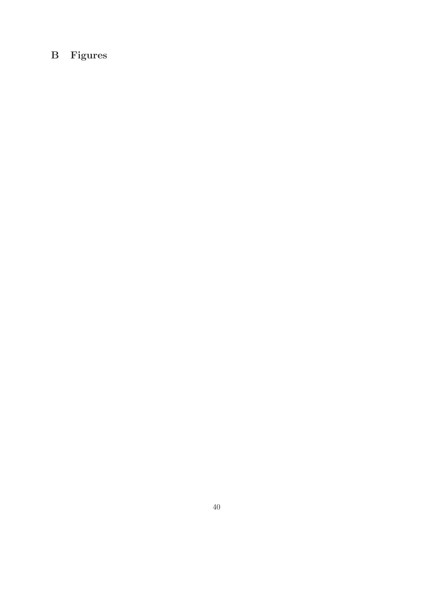# B Figures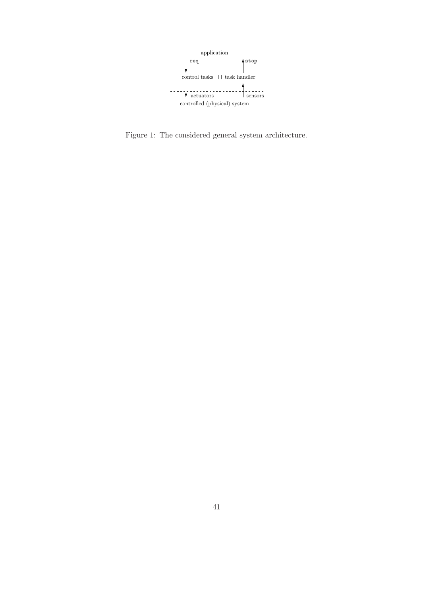

Figure 1: The considered general system architecture.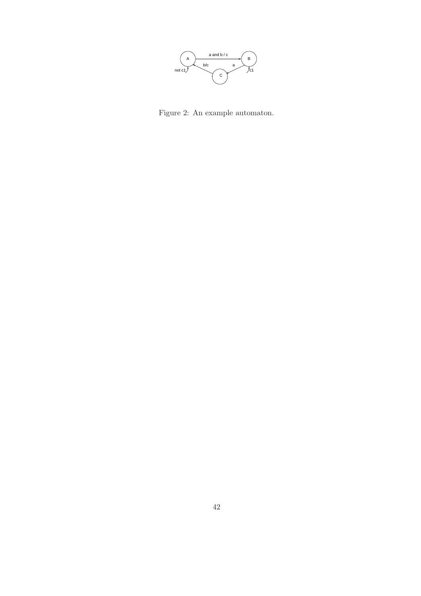

Figure 2: An example automaton.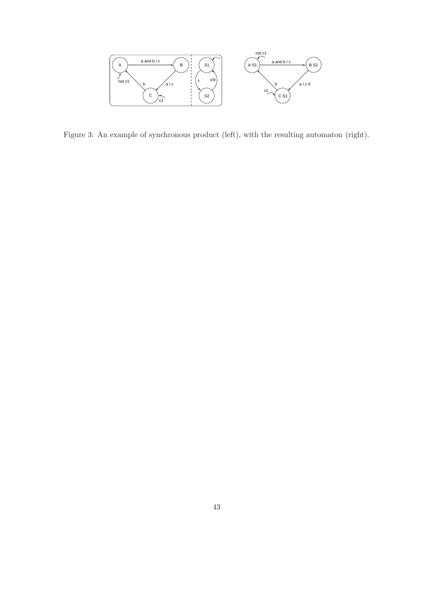

Figure 3: An example of synchronous product (left), with the resulting automaton (right).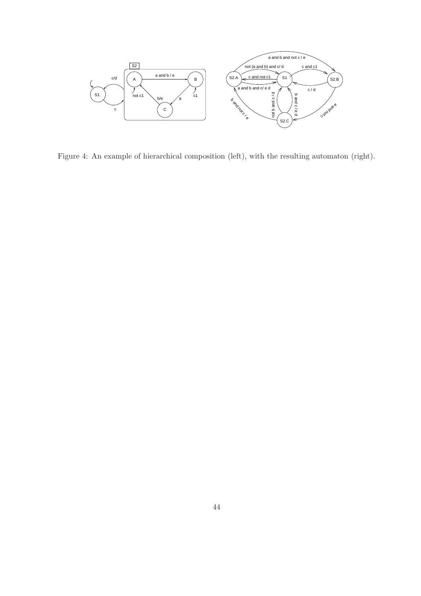

Figure 4: An example of hierarchical composition (left), with the resulting automaton (right).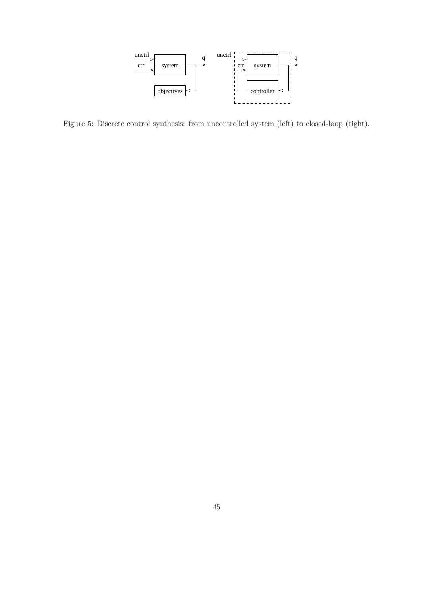

Figure 5: Discrete control synthesis: from uncontrolled system (left) to closed-loop (right).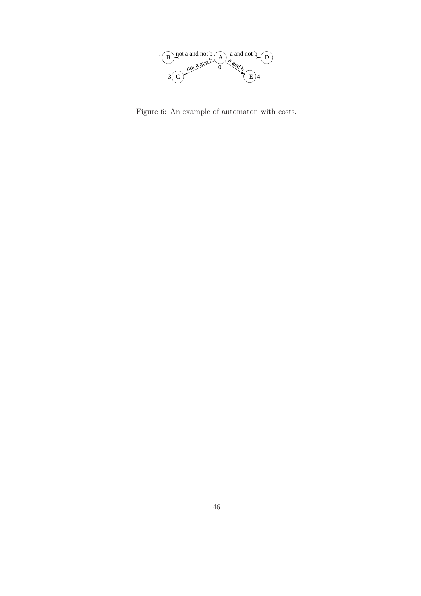

Figure 6: An example of automaton with costs.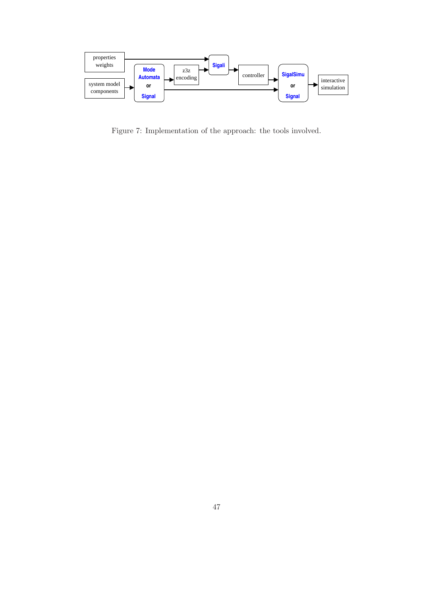

Figure 7: Implementation of the approach: the tools involved.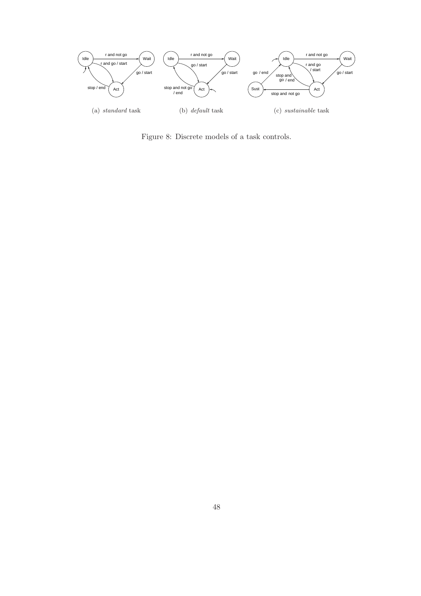

Figure 8: Discrete models of a task controls.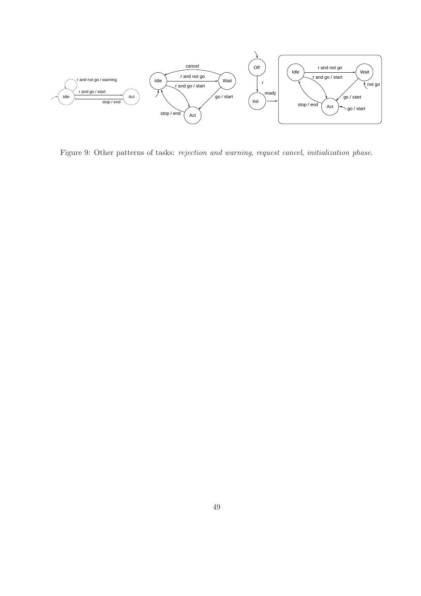

Figure 9: Other patterns of tasks: *rejection and warning*, *request cancel*, *initialization phase*.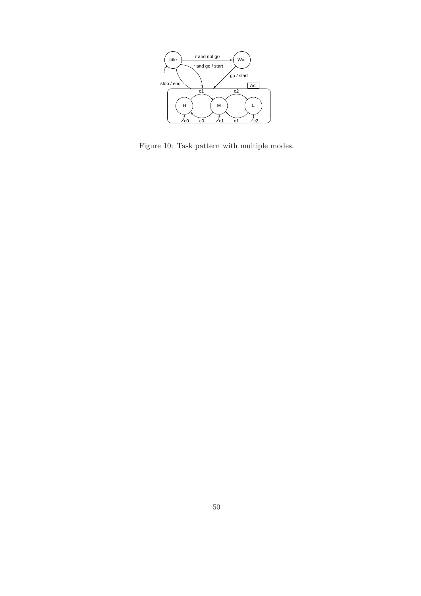

Figure 10: Task pattern with multiple modes.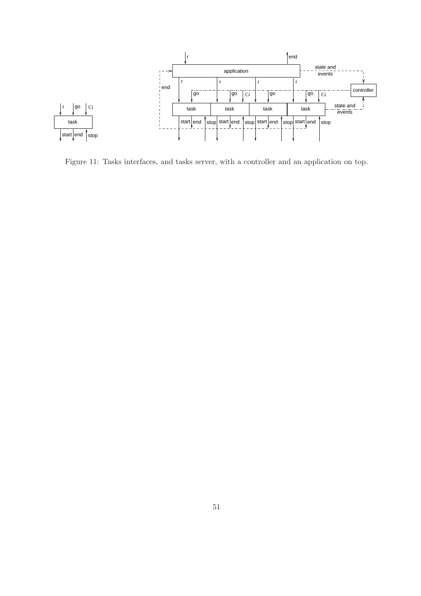

Figure 11: Tasks interfaces, and tasks server, with a controller and an application on top.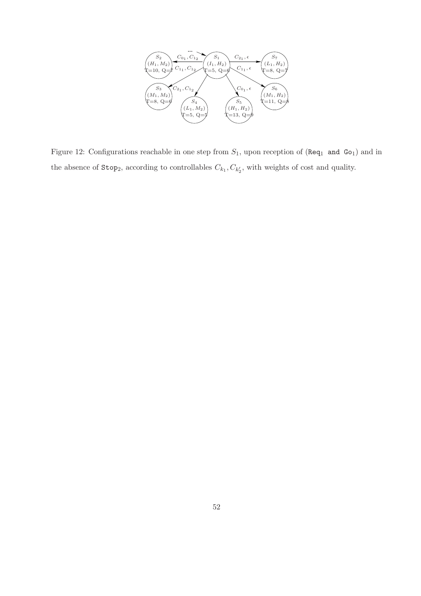

Figure 12: Configurations reachable in one step from  $S_1$ , upon reception of (Req<sub>1</sub> and Go<sub>1</sub>) and in the absence of  $\text{Stop}_2$ , according to controllables  $C_{k_1}, C_{k'_2}$ , with weights of cost and quality.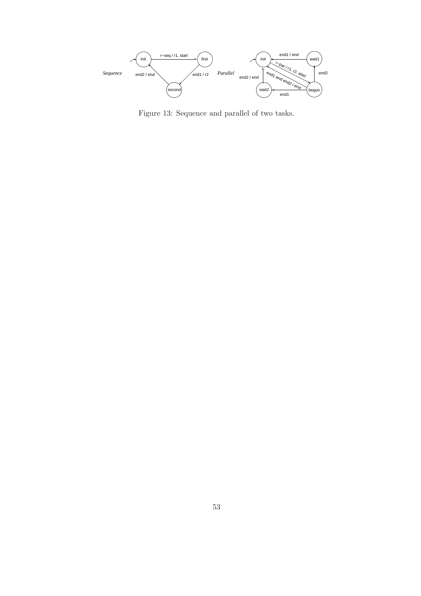

Figure 13: Sequence and parallel of two tasks.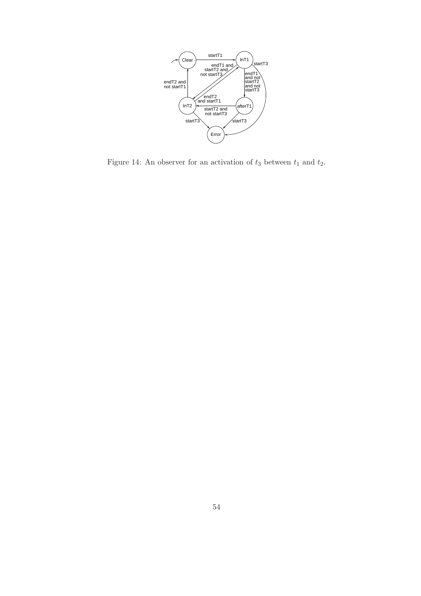

Figure 14: An observer for an activation of  $t_3$  between  $t_1$  and  $t_2$ .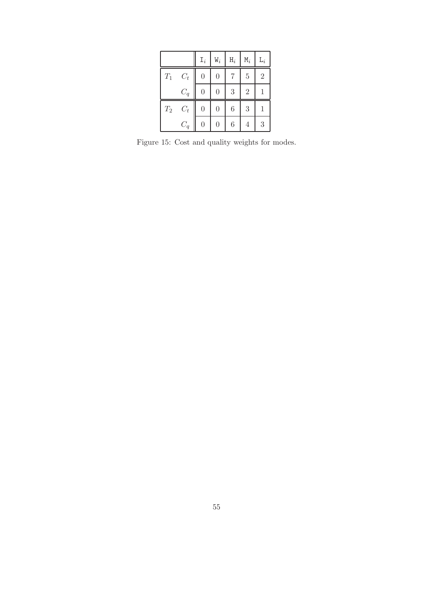|       |       | $\mathbf{I}_i$   | $W_i$          | $H_i$            | $M_i$          | $\mathbf{L}_i$ |
|-------|-------|------------------|----------------|------------------|----------------|----------------|
| $T_1$ | $C_t$ | $\boldsymbol{0}$ | $\overline{0}$ | 7                | $\overline{5}$ | $\overline{2}$ |
|       | $C_q$ | $\overline{0}$   | $\overline{0}$ | 3                | $\overline{2}$ |                |
| $T_2$ | $C_t$ | $\overline{0}$   | $\overline{0}$ | $\boldsymbol{6}$ | 3              |                |
|       | $C_q$ | $\overline{0}$   | $\overline{0}$ | 6                | 4              | 3              |

Figure 15: Cost and quality weights for modes.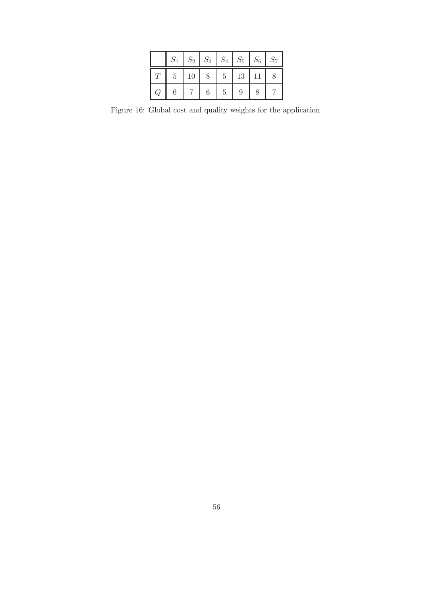|       | $S_1$          |    |                | $S_2$   $S_3$   $S_4$   $S_5$   $S_6$   $S_7$ |                     |   |
|-------|----------------|----|----------------|-----------------------------------------------|---------------------|---|
| $T$ . | 5 <sup>1</sup> | 10 | 8 <sup>8</sup> |                                               | $5 \mid 13 \mid 11$ | 8 |
| Q     | 6              |    | 6              | $\overline{5}$                                | 9                   |   |

Figure 16: Global cost and quality weights for the application.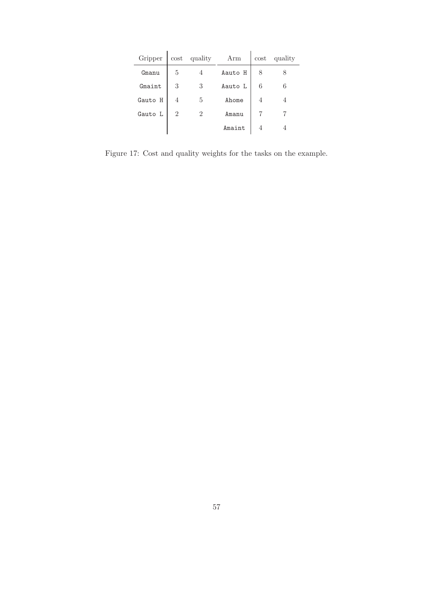| Gripper |                | cost quality | Arm     | cost quality |
|---------|----------------|--------------|---------|--------------|
| Gmanu   | 5              |              | Aauto H |              |
| Gmaint  | 3              | 3            | Aauto L |              |
| Gauto H |                | 5            | Ahome   |              |
| Gauto L | $\mathfrak{D}$ | 2            | Amanu   |              |
|         |                |              | Amaint  |              |

Figure 17: Cost and quality weights for the tasks on the example.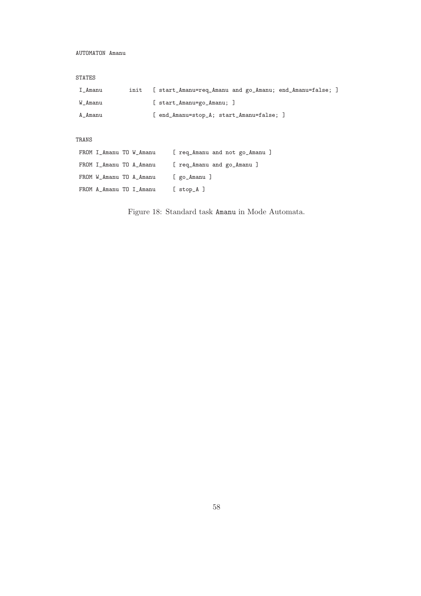```
AUTOMATON Amanu
```
STATES

| I Amanu | init | [ start_Amanu=req_Amanu and go_Amanu; end_Amanu=false; ] |
|---------|------|----------------------------------------------------------|
| W Amanu |      | [ start_Amanu=go_Amanu; ]                                |
| A_Amanu |      | [ end_Amanu=stop_A; start_Amanu=false; ]                 |

TRANS

|                         | FROM I_Amanu TO W_Amanu | [ req_Amanu and not go_Amanu ] |
|-------------------------|-------------------------|--------------------------------|
| FROM I_Amanu TO A_Amanu |                         | [ req_Amanu and go_Amanu ]     |
|                         | FROM W_Amanu TO A_Amanu | [ go_Amanu ]                   |
| FROM A_Amanu TO I_Amanu |                         | $[$ stop $A]$                  |

Figure 18: Standard task Amanu in Mode Automata.